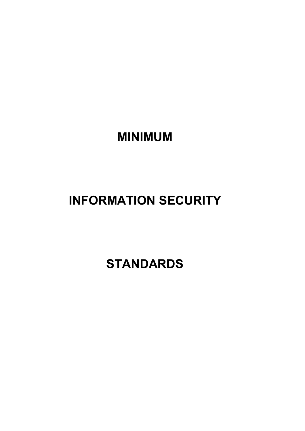**MINIMUM** 

# **INFORMATION SECURITY**

 **STANDARDS**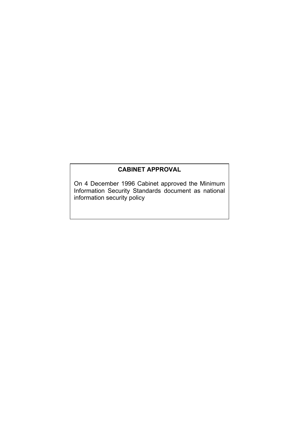# **CABINET APPROVAL**

On 4 December 1996 Cabinet approved the Minimum Information Security Standards document as national information security policy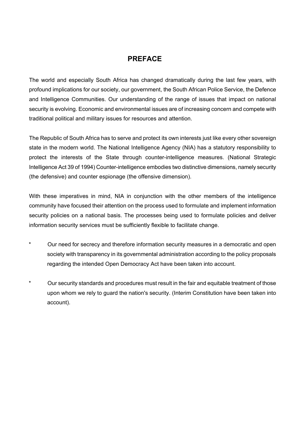# **PREFACE**

The world and especially South Africa has changed dramatically during the last few years, with profound implications for our society, our government, the South African Police Service, the Defence and Intelligence Communities. Our understanding of the range of issues that impact on national security is evolving. Economic and environmental issues are of increasing concern and compete with traditional political and military issues for resources and attention.

The Republic of South Africa has to serve and protect its own interests just like every other sovereign state in the modern world. The National Intelligence Agency (NIA) has a statutory responsibility to protect the interests of the State through counter-intelligence measures. (National Strategic Intelligence Act 39 of 1994) Counter-intelligence embodies two distinctive dimensions, namely security (the defensive) and counter espionage (the offensive dimension).

With these imperatives in mind, NIA in conjunction with the other members of the intelligence community have focused their attention on the process used to formulate and implement information security policies on a national basis. The processes being used to formulate policies and deliver information security services must be sufficiently flexible to facilitate change.

- Our need for secrecy and therefore information security measures in a democratic and open society with transparency in its governmental administration according to the policy proposals regarding the intended Open Democracy Act have been taken into account.
- Our security standards and procedures must result in the fair and equitable treatment of those upon whom we rely to guard the nation's security. (Interim Constitution have been taken into account).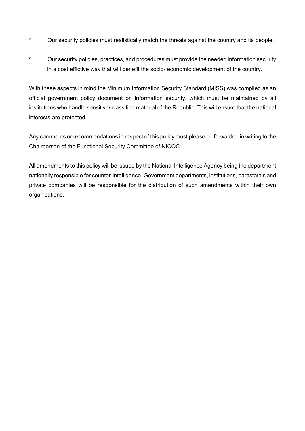- \* Our security policies must realistically match the threats against the country and its people.
- \* Our security policies, practices, and procedures must provide the needed information security in a cost effictive way that will benefit the socio- economic development of the country.

With these aspects in mind the Minimum Information Security Standard (MISS) was compiled as an official government policy document on information security, which must be maintained by all institutions who handle sensitive/ classified material of the Republic. This will ensure that the national interests are protected.

Any comments or recommendations in respect of this policy must please be forwarded in writing to the Chairperson of the Functional Security Committee of NICOC.

All amendments to this policy will be issued by the National Intelligence Agency being the department nationally responsible for counter-intelligence. Government departments, institutions, parastatals and private companies will be responsible for the distribution of such amendments within their own organisations.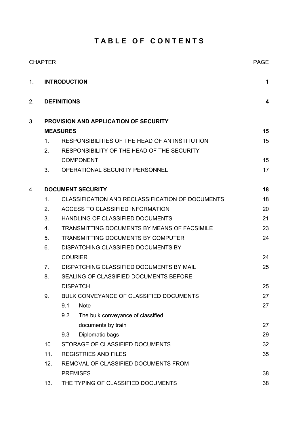# **T A B L E O F C O N T E N T S**

|    | <b>CHAPTER</b> |                                          |                                                  | <b>PAGE</b> |  |
|----|----------------|------------------------------------------|--------------------------------------------------|-------------|--|
| 1. |                | <b>INTRODUCTION</b>                      |                                                  |             |  |
| 2. |                | <b>DEFINITIONS</b>                       |                                                  | 4           |  |
| 3. |                |                                          | <b>PROVISION AND APPLICATION OF SECURITY</b>     |             |  |
|    |                | <b>MEASURES</b>                          |                                                  | 15          |  |
|    | 1 <sub>1</sub> |                                          | RESPONSIBILITIES OF THE HEAD OF AN INSTITUTION   | 15          |  |
|    | 2.             |                                          | RESPONSIBILITY OF THE HEAD OF THE SECURITY       |             |  |
|    |                |                                          | <b>COMPONENT</b>                                 | 15          |  |
|    | 3.             |                                          | <b>OPERATIONAL SECURITY PERSONNEL</b>            | 17          |  |
| 4. |                |                                          | <b>DOCUMENT SECURITY</b>                         | 18          |  |
|    | $\mathbf{1}$ . |                                          | CLASSIFICATION AND RECLASSIFICATION OF DOCUMENTS | 18          |  |
|    | 2.             |                                          | ACCESS TO CLASSIFIED INFORMATION                 | 20          |  |
|    | 3.             |                                          | HANDLING OF CLASSIFIED DOCUMENTS                 | 21          |  |
|    | 4 <sup>1</sup> |                                          | TRANSMITTING DOCUMENTS BY MEANS OF FACSIMILE     | 23          |  |
|    | 5.             | TRANSMITTING DOCUMENTS BY COMPUTER       |                                                  |             |  |
|    | 6.             | DISPATCHING CLASSIFIED DOCUMENTS BY      |                                                  |             |  |
|    |                | <b>COURIER</b>                           |                                                  | 24          |  |
|    | 7 <sub>1</sub> | DISPATCHING CLASSIFIED DOCUMENTS BY MAIL |                                                  | 25          |  |
|    | 8.             | SEALING OF CLASSIFIED DOCUMENTS BEFORE   |                                                  |             |  |
|    |                |                                          | <b>DISPATCH</b>                                  | 25          |  |
|    | 9.             |                                          | BULK CONVEYANCE OF CLASSIFIED DOCUMENTS          | 27          |  |
|    |                | 9.1                                      | <b>Note</b>                                      | 27          |  |
|    |                | 9.2                                      | The bulk conveyance of classified                |             |  |
|    |                |                                          | documents by train                               | 27          |  |
|    |                | 9.3                                      | Diplomatic bags                                  | 29          |  |
|    | 10.            |                                          | STORAGE OF CLASSIFIED DOCUMENTS                  | 32          |  |
|    | 11.            | <b>REGISTRIES AND FILES</b>              |                                                  | 35          |  |
|    | 12.            | REMOVAL OF CLASSIFIED DOCUMENTS FROM     |                                                  |             |  |
|    |                |                                          | <b>PREMISES</b>                                  | 38          |  |
|    | 13.            |                                          | THE TYPING OF CLASSIFIED DOCUMENTS               | 38          |  |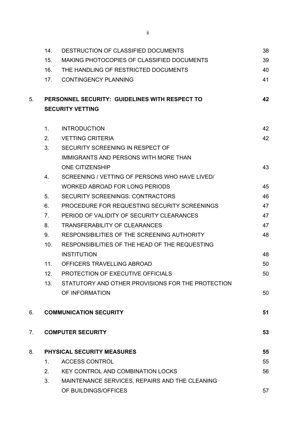|                | 14.                               | DESTRUCTION OF CLASSIFIED DOCUMENTS               | 38 |  |
|----------------|-----------------------------------|---------------------------------------------------|----|--|
|                | 15.                               | MAKING PHOTOCOPIES OF CLASSIFIED DOCUMENTS        | 39 |  |
|                | 16.                               | THE HANDLING OF RESTRICTED DOCUMENTS              | 40 |  |
|                | 17.                               | <b>CONTINGENCY PLANNING</b>                       | 41 |  |
| 5.             |                                   | PERSONNEL SECURITY: GUIDELINES WITH RESPECT TO    | 42 |  |
|                |                                   | <b>SECURITY VETTING</b>                           |    |  |
|                | 1 <sub>1</sub>                    | <b>INTRODUCTION</b>                               | 42 |  |
|                | 2.                                | <b>VETTING CRITERIA</b>                           | 42 |  |
|                | 3.                                | SECURITY SCREENING IN RESPECT OF                  |    |  |
|                |                                   | IMMIGRANTS AND PERSONS WITH MORE THAN             |    |  |
|                |                                   | <b>ONE CITIZENSHIP</b>                            | 43 |  |
|                | 4.                                | SCREENING / VETTING OF PERSONS WHO HAVE LIVED/    |    |  |
|                |                                   | <b>WORKED ABROAD FOR LONG PERIODS</b>             | 45 |  |
|                | 5 <sub>1</sub>                    | <b>SECURITY SCREENINGS: CONTRACTORS</b>           | 46 |  |
|                | 6.                                | PROCEDURE FOR REQUESTING SECURITY SCREENINGS      | 47 |  |
|                | 7 <sub>1</sub>                    | PERIOD OF VALIDITY OF SECURITY CLEARANCES         | 47 |  |
|                | 8.                                | <b>TRANSFERABILITY OF CLEARANCES</b>              | 47 |  |
|                | 9.                                | RESPONSIBILITIES OF THE SCREENING AUTHORITY       | 48 |  |
|                | 10.                               | RESPONSIBILITIES OF THE HEAD OF THE REQUESTING    |    |  |
|                |                                   | <b>INSTITUTION</b>                                | 48 |  |
|                | 11.                               | OFFICERS TRAVELLING ABROAD                        | 50 |  |
|                | 12 <sub>1</sub>                   | PROTECTION OF EXECUTIVE OFFICIALS                 | 50 |  |
|                | 13.                               | STATUTORY AND OTHER PROVISIONS FOR THE PROTECTION |    |  |
|                |                                   | OF INFORMATION                                    | 50 |  |
| 6.             |                                   | <b>COMMUNICATION SECURITY</b>                     | 51 |  |
| 7 <sub>1</sub> |                                   | <b>COMPUTER SECURITY</b>                          | 53 |  |
| 8.             | <b>PHYSICAL SECURITY MEASURES</b> |                                                   |    |  |
|                | $\mathbf 1$ .                     | <b>ACCESS CONTROL</b>                             | 55 |  |
|                | 2.                                | <b>KEY CONTROL AND COMBINATION LOCKS</b>          | 56 |  |
|                | 3.                                | MAINTENANCE SERVICES, REPAIRS AND THE CLEANING    |    |  |
|                |                                   | OF BUILDINGS/OFFICES                              | 57 |  |
|                |                                   |                                                   |    |  |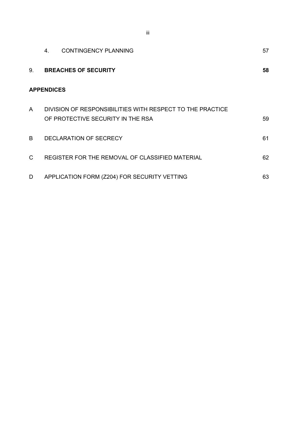|              | 4.                | <b>CONTINGENCY PLANNING</b>                                                                    | 57 |
|--------------|-------------------|------------------------------------------------------------------------------------------------|----|
| 9.           |                   | <b>BREACHES OF SECURITY</b>                                                                    | 58 |
|              | <b>APPENDICES</b> |                                                                                                |    |
| $\mathsf{A}$ |                   | DIVISION OF RESPONSIBILITIES WITH RESPECT TO THE PRACTICE<br>OF PROTECTIVE SECURITY IN THE RSA | 59 |
| <sub>R</sub> |                   | DECLARATION OF SECRECY                                                                         | 61 |
| C            |                   | REGISTER FOR THE REMOVAL OF CLASSIFIED MATERIAL                                                | 62 |
| D            |                   | APPLICATION FORM (Z204) FOR SECURITY VETTING                                                   | 63 |

iii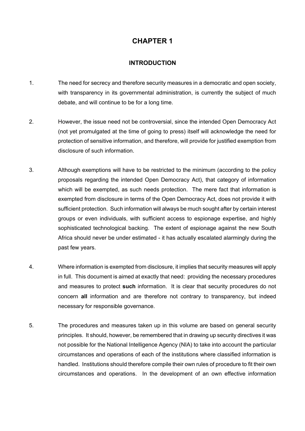#### **INTRODUCTION**

- 1. The need for secrecy and therefore security measures in a democratic and open society, with transparency in its governmental administration, is currently the subject of much debate, and will continue to be for a long time.
- 2. However, the issue need not be controversial, since the intended Open Democracy Act (not yet promulgated at the time of going to press) itself will acknowledge the need for protection of sensitive information, and therefore, will provide for justified exemption from disclosure of such information.
- 3. Although exemptions will have to be restricted to the minimum (according to the policy proposals regarding the intended Open Democracy Act), that category of information which will be exempted, as such needs protection. The mere fact that information is exempted from disclosure in terms of the Open Democracy Act, does not provide it with sufficient protection. Such information will always be much sought after by certain interest groups or even individuals, with sufficient access to espionage expertise, and highly sophisticated technological backing. The extent of espionage against the new South Africa should never be under estimated - it has actually escalated alarmingly during the past few years.
- 4. Where information is exempted from disclosure, it implies that security measures will apply in full. This document is aimed at exactly that need: providing the necessary procedures and measures to protect **such** information. It is clear that security procedures do not concern **all** information and are therefore not contrary to transparency, but indeed necessary for responsible governance.
- 5. The procedures and measures taken up in this volume are based on general security principles. It should, however, be remembered that in drawing up security directives it was not possible for the National Intelligence Agency (NIA) to take into account the particular circumstances and operations of each of the institutions where classified information is handled. Institutions should therefore compile their own rules of procedure to fit their own circumstances and operations. In the development of an own effective information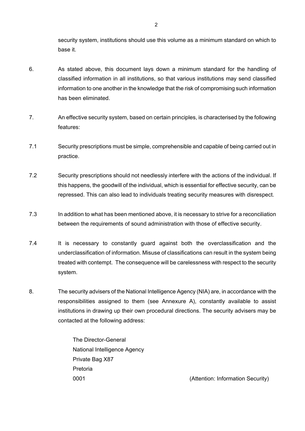security system, institutions should use this volume as a minimum standard on which to base it.

- 6. As stated above, this document lays down a minimum standard for the handling of classified information in all institutions, so that various institutions may send classified information to one another in the knowledge that the risk of compromising such information has been eliminated.
- 7. An effective security system, based on certain principles, is characterised by the following features:
- 7.1 Security prescriptions must be simple, comprehensible and capable of being carried out in practice.
- 7.2 Security prescriptions should not needlessly interfere with the actions of the individual. If this happens, the goodwill of the individual, which is essential for effective security, can be repressed. This can also lead to individuals treating security measures with disrespect.
- 7.3 In addition to what has been mentioned above, it is necessary to strive for a reconciliation between the requirements of sound administration with those of effective security.
- 7.4 It is necessary to constantly guard against both the overclassification and the underclassification of information. Misuse of classifications can result in the system being treated with contempt. The consequence will be carelessness with respect to the security system.
- 8. The security advisers of the National Intelligence Agency (NIA) are, in accordance with the responsibilities assigned to them (see Annexure A), constantly available to assist institutions in drawing up their own procedural directions. The security advisers may be contacted at the following address:

The Director-General National Intelligence Agency Private Bag X87 Pretoria

0001 (Attention: Information Security)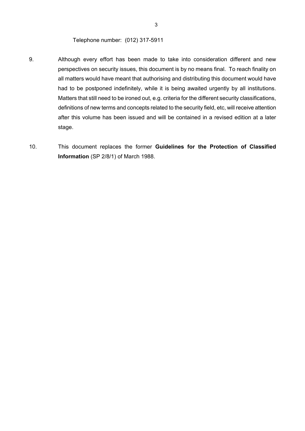Telephone number: (012) 317-5911

- 9. Although every effort has been made to take into consideration different and new perspectives on security issues, this document is by no means final. To reach finality on all matters would have meant that authorising and distributing this document would have had to be postponed indefinitely, while it is being awaited urgently by all institutions. Matters that still need to be ironed out, e.g. criteria for the different security classifications, definitions of new terms and concepts related to the security field, etc, will receive attention after this volume has been issued and will be contained in a revised edition at a later stage.
- 10. This document replaces the former **Guidelines for the Protection of Classified Information** (SP 2/8/1) of March 1988.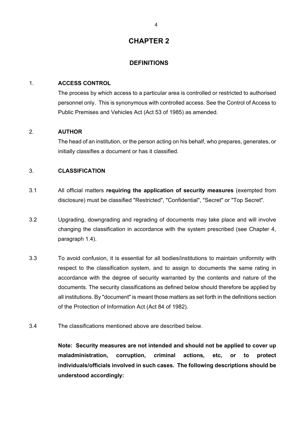#### **DEFINITIONS**

#### 1. **ACCESS CONTROL**

The process by which access to a particular area is controlled or restricted to authorised personnel only. This is synonymous with controlled access. See the Control of Access to Public Premises and Vehicles Act (Act 53 of 1985) as amended.

### 2. **AUTHOR**

The head of an institution, or the person acting on his behalf, who prepares, generates, or initially classifies a document or has it classified.

#### 3. **CLASSIFICATION**

- 3.1 All official matters **requiring the application of security measures** (exempted from disclosure) must be classified "Restricted", "Confidential", "Secret" or "Top Secret".
- 3.2 Upgrading, downgrading and regrading of documents may take place and will involve changing the classification in accordance with the system prescribed (see Chapter 4, paragraph 1.4).
- 3.3 To avoid confusion, it is essential for all bodies/institutions to maintain uniformity with respect to the classification system, and to assign to documents the same rating in accordance with the degree of security warranted by the contents and nature of the documents. The security classifications as defined below should therefore be applied by all institutions. By "document" is meant those matters as set forth in the definitions section of the Protection of Information Act (Act 84 of 1982).
- 3.4 The classifications mentioned above are described below.

**Note: Security measures are not intended and should not be applied to cover up maladministration, corruption, criminal actions, etc, or to protect individuals/officials involved in such cases. The following descriptions should be understood accordingly:**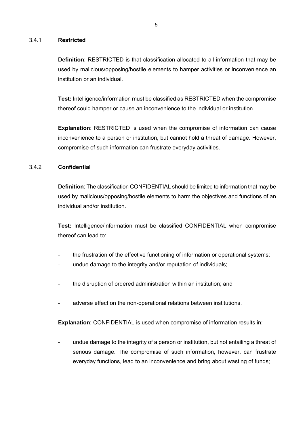#### 3.4.1 **Restricted**

**Definition**: RESTRICTED is that classification allocated to all information that may be used by malicious/opposing/hostile elements to hamper activities or inconvenience an institution or an individual.

**Test:** Intelligence/information must be classified as RESTRICTED when the compromise thereof could hamper or cause an inconvenience to the individual or institution.

**Explanation**: RESTRICTED is used when the compromise of information can cause inconvenience to a person or institution, but cannot hold a threat of damage. However, compromise of such information can frustrate everyday activities.

#### 3.4.2 **Confidential**

**Definition**: The classification CONFIDENTIAL should be limited to information that may be used by malicious/opposing/hostile elements to harm the objectives and functions of an individual and/or institution.

**Test:** Intelligence/information must be classified CONFIDENTIAL when compromise thereof can lead to:

- the frustration of the effective functioning of information or operational systems;
- undue damage to the integrity and/or reputation of individuals;
- the disruption of ordered administration within an institution; and
- adverse effect on the non-operational relations between institutions.

**Explanation**: CONFIDENTIAL is used when compromise of information results in:

undue damage to the integrity of a person or institution, but not entailing a threat of serious damage. The compromise of such information, however, can frustrate everyday functions, lead to an inconvenience and bring about wasting of funds;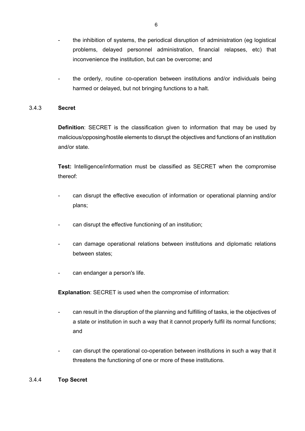- the inhibition of systems, the periodical disruption of administration (eg logistical problems, delayed personnel administration, financial relapses, etc) that inconvenience the institution, but can be overcome; and
- the orderly, routine co-operation between institutions and/or individuals being harmed or delayed, but not bringing functions to a halt.

#### 3.4.3 **Secret**

**Definition**: SECRET is the classification given to information that may be used by malicious/opposing/hostile elements to disrupt the objectives and functions of an institution and/or state.

**Test:** Intelligence/information must be classified as SECRET when the compromise thereof:

- can disrupt the effective execution of information or operational planning and/or plans;
- can disrupt the effective functioning of an institution;
- can damage operational relations between institutions and diplomatic relations between states;
- can endanger a person's life.

**Explanation**: SECRET is used when the compromise of information:

- can result in the disruption of the planning and fulfilling of tasks, ie the objectives of a state or institution in such a way that it cannot properly fulfil its normal functions; and
- can disrupt the operational co-operation between institutions in such a way that it threatens the functioning of one or more of these institutions.

#### 3.4.4 **Top Secret**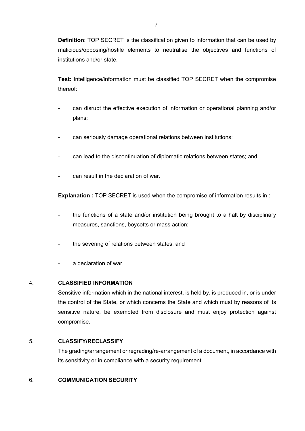**Definition**: TOP SECRET is the classification given to information that can be used by malicious/opposing/hostile elements to neutralise the objectives and functions of institutions and/or state.

**Test:** Intelligence/information must be classified TOP SECRET when the compromise thereof:

- can disrupt the effective execution of information or operational planning and/or plans;
- can seriously damage operational relations between institutions;
- can lead to the discontinuation of diplomatic relations between states; and
- can result in the declaration of war.

**Explanation :** TOP SECRET is used when the compromise of information results in :

- the functions of a state and/or institution being brought to a halt by disciplinary measures, sanctions, boycotts or mass action;
- the severing of relations between states; and
- a declaration of war

#### 4. **CLASSIFIED INFORMATION**

Sensitive information which in the national interest, is held by, is produced in, or is under the control of the State, or which concerns the State and which must by reasons of its sensitive nature, be exempted from disclosure and must enjoy protection against compromise.

#### 5. **CLASSIFY/RECLASSIFY**

The grading/arrangement or regrading/re-arrangement of a document, in accordance with its sensitivity or in compliance with a security requirement.

### 6. **COMMUNICATION SECURITY**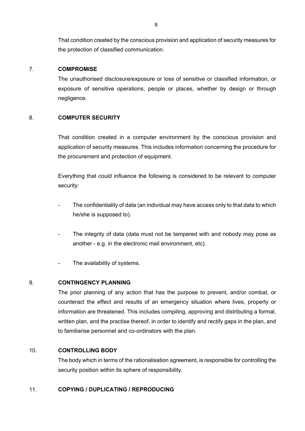That condition created by the conscious provision and application of security measures for the protection of classified communication.

#### 7. **COMPROMISE**

The unauthorised disclosure/exposure or loss of sensitive or classified information, or exposure of sensitive operations, people or places, whether by design or through negligence.

#### 8. **COMPUTER SECURITY**

That condition created in a computer environment by the conscious provision and application of security measures. This includes information concerning the procedure for the procurement and protection of equipment.

Everything that could influence the following is considered to be relevant to computer security:

- The confidentiality of data (an individual may have access only to that data to which he/she is supposed to).
- The integrity of data (data must not be tampered with and nobody may pose as another - e.g. in the electronic mail environment, etc).
- The availability of systems.

### 9. **CONTINGENCY PLANNING**

The prior planning of any action that has the purpose to prevent, and/or combat, or counteract the effect and results of an emergency situation where lives, property or information are threatened. This includes compiling, approving and distributing a formal, written plan, and the practise thereof, in order to identify and rectify gaps in the plan, and to familiarise personnel and co-ordinators with the plan.

#### 10. **CONTROLLING BODY**

The body which in terms of the rationalisation agreement, is responsible for controlling the security position within its sphere of responsibility.

### 11. **COPYING / DUPLICATING / REPRODUCING**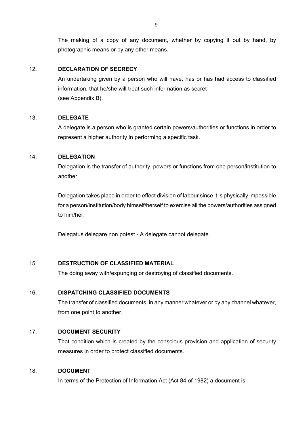The making of a copy of any document, whether by copying it out by hand, by photographic means or by any other means.

#### 12. **DECLARATION OF SECRECY**

An undertaking given by a person who will have, has or has had access to classified information, that he/she will treat such information as secret (see Appendix B).

#### 13. **DELEGATE**

A delegate is a person who is granted certain powers/authorities or functions in order to represent a higher authority in performing a specific task.

#### 14. **DELEGATION**

Delegation is the transfer of authority, powers or functions from one person/institution to another.

Delegation takes place in order to effect division of labour since it is physically impossible for a person/institution/body himself/herself to exercise all the powers/authorities assigned to him/her.

Delegatus delegare non potest - A delegate cannot delegate.

### 15. **DESTRUCTION OF CLASSIFIED MATERIAL**

The doing away with/expunging or destroying of classified documents.

### 16. **DISPATCHING CLASSIFIED DOCUMENTS**

The transfer of classified documents, in any manner whatever or by any channel whatever, from one point to another.

### 17. **DOCUMENT SECURITY**

That condition which is created by the conscious provision and application of security measures in order to protect classified documents.

#### 18. **DOCUMENT**

In terms of the Protection of Information Act (Act 84 of 1982) a document is: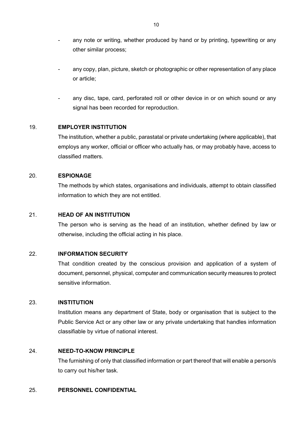- any note or writing, whether produced by hand or by printing, typewriting or any other similar process;
- any copy, plan, picture, sketch or photographic or other representation of any place or article;
- any disc, tape, card, perforated roll or other device in or on which sound or any signal has been recorded for reproduction.

#### 19. **EMPLOYER INSTITUTION**

The institution, whether a public, parastatal or private undertaking (where applicable), that employs any worker, official or officer who actually has, or may probably have, access to classified matters.

#### 20. **ESPIONAGE**

The methods by which states, organisations and individuals, attempt to obtain classified information to which they are not entitled.

#### 21. **HEAD OF AN INSTITUTION**

The person who is serving as the head of an institution, whether defined by law or otherwise, including the official acting in his place.

#### 22. **INFORMATION SECURITY**

That condition created by the conscious provision and application of a system of document, personnel, physical, computer and communication security measures to protect sensitive information.

#### 23. **INSTITUTION**

Institution means any department of State, body or organisation that is subject to the Public Service Act or any other law or any private undertaking that handles information classifiable by virtue of national interest.

#### 24. **NEED-TO-KNOW PRINCIPLE**

The furnishing of only that classified information or part thereof that will enable a person/s to carry out his/her task.

#### 25. **PERSONNEL CONFIDENTIAL**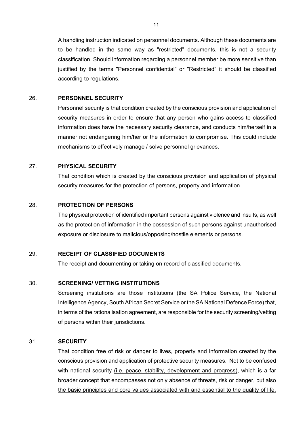A handling instruction indicated on personnel documents. Although these documents are to be handled in the same way as "restricted" documents, this is not a security classification. Should information regarding a personnel member be more sensitive than justified by the terms "Personnel confidential" or "Restricted" it should be classified according to regulations.

#### 26. **PERSONNEL SECURITY**

Personnel security is that condition created by the conscious provision and application of security measures in order to ensure that any person who gains access to classified information does have the necessary security clearance, and conducts him/herself in a manner not endangering him/her or the information to compromise. This could include mechanisms to effectively manage / solve personnel grievances.

#### 27. **PHYSICAL SECURITY**

That condition which is created by the conscious provision and application of physical security measures for the protection of persons, property and information.

#### 28. **PROTECTION OF PERSONS**

The physical protection of identified important persons against violence and insults, as well as the protection of information in the possession of such persons against unauthorised exposure or disclosure to malicious/opposing/hostile elements or persons.

#### 29. **RECEIPT OF CLASSIFIED DOCUMENTS**

The receipt and documenting or taking on record of classified documents.

#### 30. **SCREENING/ VETTING INSTITUTIONS**

Screening institutions are those institutions (the SA Police Service, the National Intelligence Agency, South African Secret Service or the SA National Defence Force) that, in terms of the rationalisation agreement, are responsible for the security screening/vetting of persons within their jurisdictions.

#### 31. **SECURITY**

That condition free of risk or danger to lives, property and information created by the conscious provision and application of protective security measures. Not to be confused with national security (i.e. peace, stability, development and progress), which is a far broader concept that encompasses not only absence of threats, risk or danger, but also the basic principles and core values associated with and essential to the quality of life,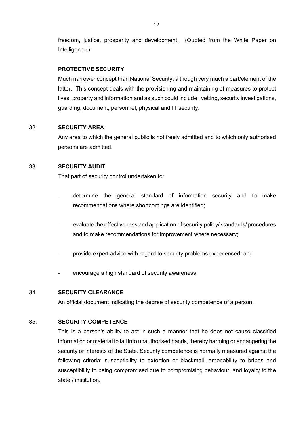freedom, justice, prosperity and development. (Quoted from the White Paper on Intelligence.)

#### **PROTECTIVE SECURITY**

Much narrower concept than National Security, although very much a part/element of the latter. This concept deals with the provisioning and maintaining of measures to protect lives, property and information and as such could include : vetting, security investigations, guarding, document, personnel, physical and IT security.

#### 32. **SECURITY AREA**

Any area to which the general public is not freely admitted and to which only authorised persons are admitted.

#### 33. **SECURITY AUDIT**

That part of security control undertaken to:

- determine the general standard of information security and to make recommendations where shortcomings are identified;
- evaluate the effectiveness and application of security policy/ standards/ procedures and to make recommendations for improvement where necessary;
- provide expert advice with regard to security problems experienced; and
- encourage a high standard of security awareness.

#### 34. **SECURITY CLEARANCE**

An official document indicating the degree of security competence of a person.

#### 35. **SECURITY COMPETENCE**

This is a person's ability to act in such a manner that he does not cause classified information or material to fall into unauthorised hands, thereby harming or endangering the security or interests of the State. Security competence is normally measured against the following criteria: susceptibility to extortion or blackmail, amenability to bribes and susceptibility to being compromised due to compromising behaviour, and loyalty to the state / institution.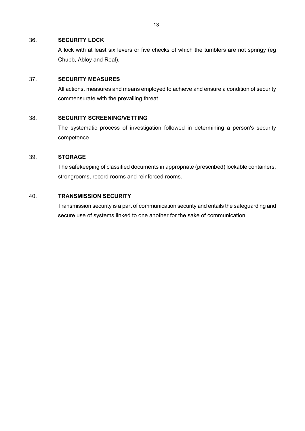#### 36. **SECURITY LOCK**

A lock with at least six levers or five checks of which the tumblers are not springy (eg Chubb, Abloy and Real).

#### 37. **SECURITY MEASURES**

All actions, measures and means employed to achieve and ensure a condition of security commensurate with the prevailing threat.

#### 38. **SECURITY SCREENING/VETTING**

The systematic process of investigation followed in determining a person's security competence.

#### 39. **STORAGE**

The safekeeping of classified documents in appropriate (prescribed) lockable containers, strongrooms, record rooms and reinforced rooms.

#### 40. **TRANSMISSION SECURITY**

Transmission security is a part of communication security and entails the safeguarding and secure use of systems linked to one another for the sake of communication.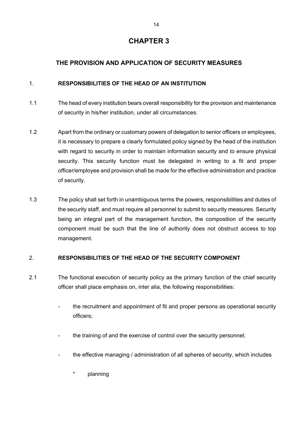### **THE PROVISION AND APPLICATION OF SECURITY MEASURES**

### 1. **RESPONSIBILITIES OF THE HEAD OF AN INSTITUTION**

- 1.1 The head of every institution bears overall responsibility for the provision and maintenance of security in his/her institution, under all circumstances.
- 1.2 Apart from the ordinary or customary powers of delegation to senior officers or employees, it is necessary to prepare a clearly formulated policy signed by the head of the institution with regard to security in order to maintain information security and to ensure physical security. This security function must be delegated in writing to a fit and proper officer/employee and provision shall be made for the effective administration and practice of security.
- 1.3 The policy shall set forth in unambiguous terms the powers, responsibilities and duties of the security staff, and must require all personnel to submit to security measures. Security being an integral part of the management function, the composition of the security component must be such that the line of authority does not obstruct access to top management.

### 2. **RESPONSIBILITIES OF THE HEAD OF THE SECURITY COMPONENT**

- 2.1 The functional execution of security policy as the primary function of the chief security officer shall place emphasis on, inter alia, the following responsibilities:
	- the recruitment and appointment of fit and proper persons as operational security officers;
	- the training of and the exercise of control over the security personnel;
	- the effective managing / administration of all spheres of security, which includes
		- \* planning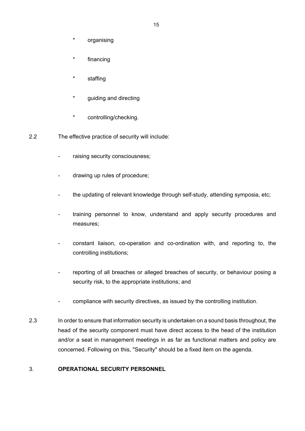- organising
- \* financing
- staffing
- \* guiding and directing
- \* controlling/checking.
- 2.2 The effective practice of security will include:
	- raising security consciousness;
	- drawing up rules of procedure;
	- the updating of relevant knowledge through self-study, attending symposia, etc;
	- training personnel to know, understand and apply security procedures and measures;
	- constant liaison, co-operation and co-ordination with, and reporting to, the controlling institutions;
	- reporting of all breaches or alleged breaches of security, or behaviour posing a security risk, to the appropriate institutions; and
	- compliance with security directives, as issued by the controlling institution.
- 2.3 In order to ensure that information security is undertaken on a sound basis throughout, the head of the security component must have direct access to the head of the institution and/or a seat in management meetings in as far as functional matters and policy are concerned. Following on this, "Security" should be a fixed item on the agenda.

#### 3. **OPERATIONAL SECURITY PERSONNEL**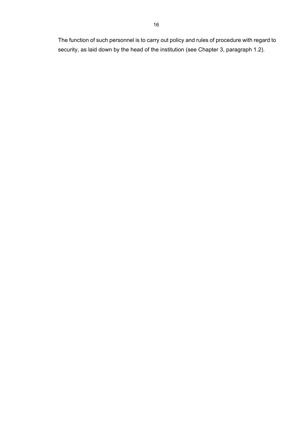The function of such personnel is to carry out policy and rules of procedure with regard to security, as laid down by the head of the institution (see Chapter 3, paragraph 1.2).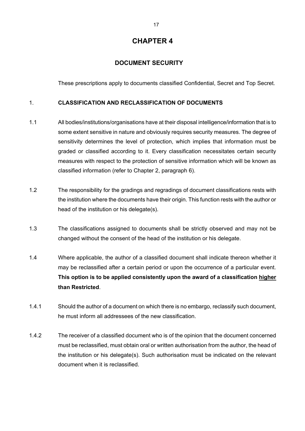### **DOCUMENT SECURITY**

These prescriptions apply to documents classified Confidential, Secret and Top Secret.

### 1. **CLASSIFICATION AND RECLASSIFICATION OF DOCUMENTS**

- 1.1 All bodies/institutions/organisations have at their disposal intelligence/information that is to some extent sensitive in nature and obviously requires security measures. The degree of sensitivity determines the level of protection, which implies that information must be graded or classified according to it. Every classification necessitates certain security measures with respect to the protection of sensitive information which will be known as classified information (refer to Chapter 2, paragraph 6).
- 1.2 The responsibility for the gradings and regradings of document classifications rests with the institution where the documents have their origin. This function rests with the author or head of the institution or his delegate(s).
- 1.3 The classifications assigned to documents shall be strictly observed and may not be changed without the consent of the head of the institution or his delegate.
- 1.4 Where applicable, the author of a classified document shall indicate thereon whether it may be reclassified after a certain period or upon the occurrence of a particular event. **This option is to be applied consistently upon the award of a classification higher than Restricted**.
- 1.4.1 Should the author of a document on which there is no embargo, reclassify such document, he must inform all addressees of the new classification.
- 1.4.2 The receiver of a classified document who is of the opinion that the document concerned must be reclassified, must obtain oral or written authorisation from the author, the head of the institution or his delegate(s). Such authorisation must be indicated on the relevant document when it is reclassified.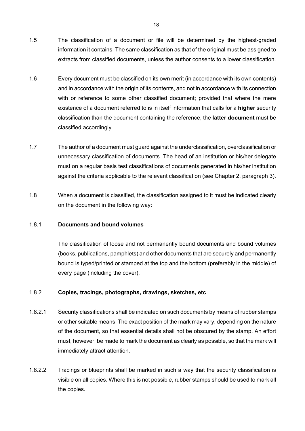- 1.5 The classification of a document or file will be determined by the highest-graded information it contains. The same classification as that of the original must be assigned to extracts from classified documents, unless the author consents to a lower classification.
- 1.6 Every document must be classified on its own merit (in accordance with its own contents) and in accordance with the origin of its contents, and not in accordance with its connection with or reference to some other classified document; provided that where the mere existence of a document referred to is in itself information that calls for a **higher** security classification than the document containing the reference, the **latter document** must be classified accordingly.
- 1.7 The author of a document must guard against the underclassification, overclassification or unnecessary classification of documents. The head of an institution or his/her delegate must on a regular basis test classifications of documents generated in his/her institution against the criteria applicable to the relevant classification (see Chapter 2, paragraph 3).
- 1.8 When a document is classified, the classification assigned to it must be indicated clearly on the document in the following way:

#### 1.8.1 **Documents and bound volumes**

The classification of loose and not permanently bound documents and bound volumes (books, publications, pamphlets) and other documents that are securely and permanently bound is typed/printed or stamped at the top and the bottom (preferably in the middle) of every page (including the cover).

#### 1.8.2 **Copies, tracings, photographs, drawings, sketches, etc**

- 1.8.2.1 Security classifications shall be indicated on such documents by means of rubber stamps or other suitable means. The exact position of the mark may vary, depending on the nature of the document, so that essential details shall not be obscured by the stamp. An effort must, however, be made to mark the document as clearly as possible, so that the mark will immediately attract attention.
- 1.8.2.2 Tracings or blueprints shall be marked in such a way that the security classification is visible on all copies. Where this is not possible, rubber stamps should be used to mark all the copies.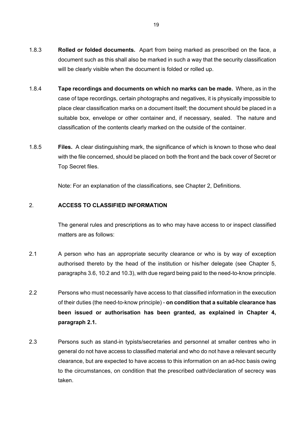- 1.8.3 **Rolled or folded documents.** Apart from being marked as prescribed on the face, a document such as this shall also be marked in such a way that the security classification will be clearly visible when the document is folded or rolled up.
- 1.8.4 **Tape recordings and documents on which no marks can be made.** Where, as in the case of tape recordings, certain photographs and negatives, it is physically impossible to place clear classification marks on a document itself; the document should be placed in a suitable box, envelope or other container and, if necessary, sealed. The nature and classification of the contents clearly marked on the outside of the container.
- 1.8.5 **Files.** A clear distinguishing mark, the significance of which is known to those who deal with the file concerned, should be placed on both the front and the back cover of Secret or Top Secret files.

Note: For an explanation of the classifications, see Chapter 2, Definitions.

#### 2. **ACCESS TO CLASSIFIED INFORMATION**

The general rules and prescriptions as to who may have access to or inspect classified matters are as follows:

- 2.1 A person who has an appropriate security clearance or who is by way of exception authorised thereto by the head of the institution or his/her delegate (see Chapter 5, paragraphs 3.6, 10.2 and 10.3), with due regard being paid to the need-to-know principle.
- 2.2 Persons who must necessarily have access to that classified information in the execution of their duties (the need-to-know principle) - **on condition that a suitable clearance has been issued or authorisation has been granted, as explained in Chapter 4, paragraph 2.1.**
- 2.3 Persons such as stand-in typists/secretaries and personnel at smaller centres who in general do not have access to classified material and who do not have a relevant security clearance, but are expected to have access to this information on an ad-hoc basis owing to the circumstances, on condition that the prescribed oath/declaration of secrecy was taken.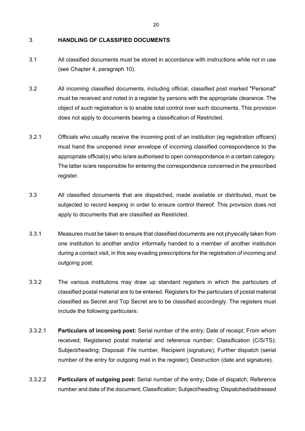#### 3. **HANDLING OF CLASSIFIED DOCUMENTS**

- 3.1 All classified documents must be stored in accordance with instructions while not in use (see Chapter 4, paragraph 10).
- 3.2 All incoming classified documents, including official, classified post marked "Personal" must be received and noted in a register by persons with the appropriate clearance. The object of such registration is to enable total control over such documents. This provision does not apply to documents bearing a classification of Restricted.
- 3.2.1 Officials who usually receive the incoming post of an institution (eg registration officers) must hand the unopened inner envelope of incoming classified correspondence to the appropriate official(s) who is/are authorised to open correspondence in a certain category. The latter is/are responsible for entering the correspondence concerned in the prescribed register.
- 3.3 All classified documents that are dispatched, made available or distributed, must be subjected to record keeping in order to ensure control thereof. This provision does not apply to documents that are classified as Restricted.
- 3.3.1 Measures must be taken to ensure that classified documents are not physically taken from one institution to another and/or informally handed to a member of another institution during a contact visit, in this way evading prescriptions for the registration of incoming and outgoing post.
- 3.3.2 The various institutions may draw up standard registers in which the particulars of classified postal material are to be entered. Registers for the particulars of postal material classified as Secret and Top Secret are to be classified accordingly. The registers must include the following particulars:
- 3.3.2.1 **Particulars of incoming post:** Serial number of the entry; Date of receipt; From whom received; Registered postal material and reference number; Classification (C/S/TS); Subject/heading; Disposal: File number, Recipient (signature); Further dispatch (serial number of the entry for outgoing mail in the register); Destruction (date and signature).
- 3.3.2.2 **Particulars of outgoing post:** Serial number of the entry; Date of dispatch; Reference number and date of the document; Classification; Subject/heading; Dispatched/addressed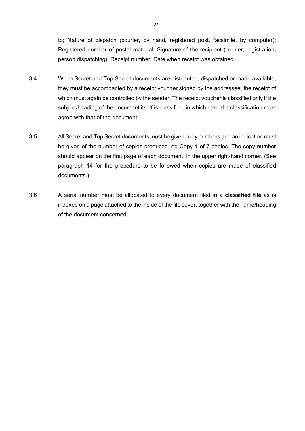to; Nature of dispatch (courier, by hand, registered post, facsimile, by computer); Registered number of postal material; Signature of the recipient (courier, registration, person dispatching); Receipt number; Date when receipt was obtained.

- 3.4 When Secret and Top Secret documents are distributed, dispatched or made available, they must be accompanied by a receipt voucher signed by the addressee, the receipt of which must again be controlled by the sender. The receipt voucher is classified only if the subject/heading of the document itself is classified, in which case the classification must agree with that of the document.
- 3.5 All Secret and Top Secret documents must be given copy numbers and an indication must be given of the number of copies produced, eg Copy 1 of 7 copies. The copy number should appear on the first page of each document, in the upper right-hand corner. (See paragraph 14 for the procedure to be followed when copies are made of classified documents.)
- 3.6 A serial number must be allocated to every document filed in a **classified file** as is indexed on a page attached to the inside of the file cover, together with the name/heading of the document concerned.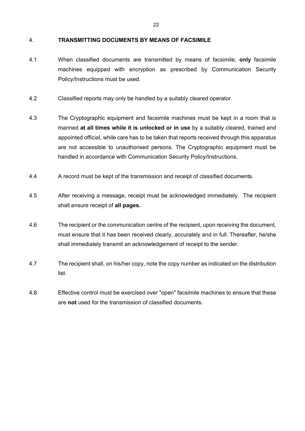#### 4. **TRANSMITTING DOCUMENTS BY MEANS OF FACSIMILE**

- 4.1 When classified documents are transmitted by means of facsimile, **only** facsimile machines equipped with encryption as prescribed by Communication Security Policy/Instructions must be used.
- 4.2 Classified reports may only be handled by a suitably cleared operator.
- 4.3 The Cryptographic equipment and facsimile machines must be kept in a room that is manned **at all times while it is unlocked or in use** by a suitably cleared, trained and appointed official, while care has to be taken that reports received through this apparatus are not accessible to unauthorised persons. The Cryptographic equipment must be handled in accordance with Communication Security Policy/Instructions.
- 4.4 A record must be kept of the transmission and receipt of classified documents.
- 4.5 After receiving a message, receipt must be acknowledged immediately. The recipient shall ensure receipt of **all pages.**
- 4.6 The recipient or the communication centre of the recipient, upon receiving the document, must ensure that it has been received clearly, accurately and in full. Thereafter, he/she shall immediately transmit an acknowledgement of receipt to the sender.
- 4.7 The recipient shall, on his/her copy, note the copy number as indicated on the distribution list.
- 4.8 Effective control must be exercised over "open" facsimile machines to ensure that these are **not** used for the transmission of classified documents.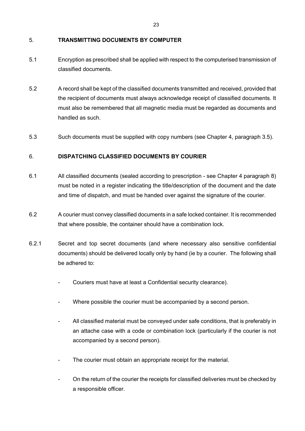#### 5. **TRANSMITTING DOCUMENTS BY COMPUTER**

- 5.1 Encryption as prescribed shall be applied with respect to the computerised transmission of classified documents.
- 5.2 A record shall be kept of the classified documents transmitted and received, provided that the recipient of documents must always acknowledge receipt of classified documents. It must also be remembered that all magnetic media must be regarded as documents and handled as such.
- 5.3 Such documents must be supplied with copy numbers (see Chapter 4, paragraph 3.5).

### 6. **DISPATCHING CLASSIFIED DOCUMENTS BY COURIER**

- 6.1 All classified documents (sealed according to prescription see Chapter 4 paragraph 8) must be noted in a register indicating the title/description of the document and the date and time of dispatch, and must be handed over against the signature of the courier.
- 6.2 A courier must convey classified documents in a safe locked container. It is recommended that where possible, the container should have a combination lock.
- 6.2.1 Secret and top secret documents (and where necessary also sensitive confidential documents) should be delivered locally only by hand (ie by a courier. The following shall be adhered to:
	- Couriers must have at least a Confidential security clearance).
	- Where possible the courier must be accompanied by a second person.
	- All classified material must be conveyed under safe conditions, that is preferably in an attache case with a code or combination lock (particularly if the courier is not accompanied by a second person).
	- The courier must obtain an appropriate receipt for the material.
	- On the return of the courier the receipts for classified deliveries must be checked by a responsible officer.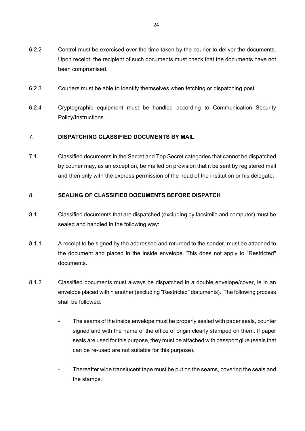- 6.2.2 Control must be exercised over the time taken by the courier to deliver the documents. Upon receipt, the recipient of such documents must check that the documents have not been compromised.
- 6.2.3 Couriers must be able to identify themselves when fetching or dispatching post.
- 6.2.4 Cryptographic equipment must be handled according to Communication Security Policy/Instructions.

#### 7. **DISPATCHING CLASSIFIED DOCUMENTS BY MAIL**

7.1 Classified documents in the Secret and Top Secret categories that cannot be dispatched by courier may, as an exception, be mailed on provision that it be sent by registered mail and then only with the express permission of the head of the institution or his delegate.

#### 8. **SEALING OF CLASSIFIED DOCUMENTS BEFORE DISPATCH**

- 8.1 Classified documents that are dispatched (excluding by facsimile and computer) must be sealed and handled in the following way:
- 8.1.1 A receipt to be signed by the addressee and returned to the sender, must be attached to the document and placed in the inside envelope. This does not apply to "Restricted" documents.
- 8.1.2 Classified documents must always be dispatched in a double envelope/cover, ie in an envelope placed within another (excluding "Restricted" documents). The following process shall be followed:
	- The seams of the inside envelope must be properly sealed with paper seals, counter signed and with the name of the office of origin clearly stamped on them. If paper seals are used for this purpose, they must be attached with passport glue (seals that can be re-used are not suitable for this purpose).
	- Thereafter wide translucent tape must be put on the seams, covering the seals and the stamps.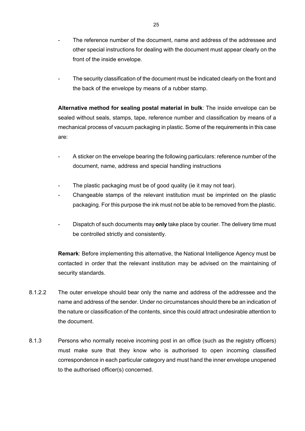- The reference number of the document, name and address of the addressee and other special instructions for dealing with the document must appear clearly on the front of the inside envelope.
- The security classification of the document must be indicated clearly on the front and the back of the envelope by means of a rubber stamp.

**Alternative method for sealing postal material in bulk**: The inside envelope can be sealed without seals, stamps, tape, reference number and classification by means of a mechanical process of vacuum packaging in plastic. Some of the requirements in this case are:

- A sticker on the envelope bearing the following particulars: reference number of the document, name, address and special handling instructions
- The plastic packaging must be of good quality (ie it may not tear).
- Changeable stamps of the relevant institution must be imprinted on the plastic packaging. For this purpose the ink must not be able to be removed from the plastic.
- Dispatch of such documents may **only** take place by courier. The delivery time must be controlled strictly and consistently.

**Remark**: Before implementing this alternative, the National Intelligence Agency must be contacted in order that the relevant institution may be advised on the maintaining of security standards.

- 8.1.2.2 The outer envelope should bear only the name and address of the addressee and the name and address of the sender. Under no circumstances should there be an indication of the nature or classification of the contents, since this could attract undesirable attention to the document.
- 8.1.3 Persons who normally receive incoming post in an office (such as the registry officers) must make sure that they know who is authorised to open incoming classified correspondence in each particular category and must hand the inner envelope unopened to the authorised officer(s) concerned.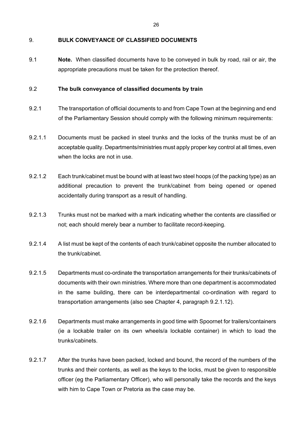#### 9. **BULK CONVEYANCE OF CLASSIFIED DOCUMENTS**

9.1 **Note.** When classified documents have to be conveyed in bulk by road, rail or air, the appropriate precautions must be taken for the protection thereof.

#### 9.2 **The bulk conveyance of classified documents by train**

- 9.2.1 The transportation of official documents to and from Cape Town at the beginning and end of the Parliamentary Session should comply with the following minimum requirements:
- 9.2.1.1 Documents must be packed in steel trunks and the locks of the trunks must be of an acceptable quality. Departments/ministries must apply proper key control at all times, even when the locks are not in use.
- 9.2.1.2 Each trunk/cabinet must be bound with at least two steel hoops (of the packing type) as an additional precaution to prevent the trunk/cabinet from being opened or opened accidentally during transport as a result of handling.
- 9.2.1.3 Trunks must not be marked with a mark indicating whether the contents are classified or not; each should merely bear a number to facilitate record-keeping.
- 9.2.1.4 A list must be kept of the contents of each trunk/cabinet opposite the number allocated to the trunk/cabinet.
- 9.2.1.5 Departments must co-ordinate the transportation arrangements for their trunks/cabinets of documents with their own ministries. Where more than one department is accommodated in the same building, there can be interdepartmental co-ordination with regard to transportation arrangements (also see Chapter 4, paragraph 9.2.1.12).
- 9.2.1.6 Departments must make arrangements in good time with Spoornet for trailers/containers (ie a lockable trailer on its own wheels/a lockable container) in which to load the trunks/cabinets.
- 9.2.1.7 After the trunks have been packed, locked and bound, the record of the numbers of the trunks and their contents, as well as the keys to the locks, must be given to responsible officer (eg the Parliamentary Officer), who will personally take the records and the keys with him to Cape Town or Pretoria as the case may be.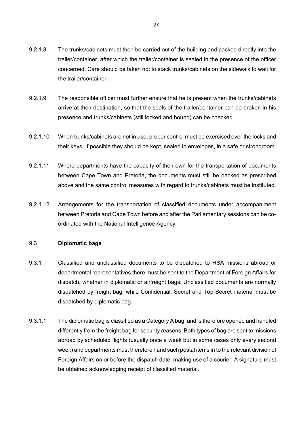- 9.2.1.8 The trunks/cabinets must then be carried out of the building and packed directly into the trailer/container, after which the trailer/container is sealed in the presence of the officer concerned. Care should be taken not to stack trunks/cabinets on the sidewalk to wait for the trailer/container.
- 9.2.1.9 The responsible officer must further ensure that he is present when the trunks/cabinets arrive at their destination, so that the seals of the trailer/container can be broken in his presence and trunks/cabinets (still locked and bound) can be checked.
- 9.2.1.10 When trunks/cabinets are not in use, proper control must be exercised over the locks and their keys. If possible they should be kept, sealed in envelopes, in a safe or strongroom.
- 9.2.1.11 Where departments have the capacity of their own for the transportation of documents between Cape Town and Pretoria, the documents must still be packed as prescribed above and the same control measures with regard to trunks/cabinets must be instituted.
- 9.2.1.12 Arrangements for the transportation of classified documents under accompaniment between Pretoria and Cape Town before and after the Parliamentary sessions can be coordinated with the National Intelligence Agency.

#### 9.3 **Diplomatic bags**

- 9.3.1 Classified and unclassified documents to be dispatched to RSA missions abroad or departmental representatives there must be sent to the Department of Foreign Affairs for dispatch, whether in diplomatic or airfreight bags. Unclassified documents are normally dispatched by freight bag, while Confidential, Secret and Top Secret material must be dispatched by diplomatic bag.
- 9.3.1.1 The diplomatic bag is classified as a Category A bag, and is therefore opened and handled differently from the freight bag for security reasons. Both types of bag are sent to missions abroad by scheduled flights (usually once a week but in some cases only every second week) and departments must therefore hand such postal items in to the relevant division of Foreign Affairs on or before the dispatch date, making use of a courier. A signature must be obtained acknowledging receipt of classified material.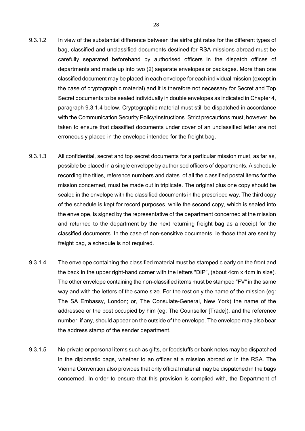- 9.3.1.2 In view of the substantial difference between the airfreight rates for the different types of bag, classified and unclassified documents destined for RSA missions abroad must be carefully separated beforehand by authorised officers in the dispatch offices of departments and made up into two (2) separate envelopes or packages. More than one classified document may be placed in each envelope for each individual mission (except in the case of cryptographic material) and it is therefore not necessary for Secret and Top Secret documents to be sealed individually in double envelopes as indicated in Chapter 4, paragraph 9.3.1.4 below. Cryptographic material must still be dispatched in accordance with the Communication Security Policy/Instructions. Strict precautions must, however, be taken to ensure that classified documents under cover of an unclassified letter are not erroneously placed in the envelope intended for the freight bag.
- 9.3.1.3 All confidential, secret and top secret documents for a particular mission must, as far as, possible be placed in a single envelope by authorised officers of departments. A schedule recording the titles, reference numbers and dates. of all the classified postal items for the mission concerned, must be made out in triplicate. The original plus one copy should be sealed in the envelope with the classified documents in the prescribed way. The third copy of the schedule is kept for record purposes, while the second copy, which is sealed into the envelope, is signed by the representative of the department concerned at the mission and returned to the department by the next returning freight bag as a receipt for the classified documents. In the case of non-sensitive documents, ie those that are sent by freight bag, a schedule is not required.
- 9.3.1.4 The envelope containing the classified material must be stamped clearly on the front and the back in the upper right-hand corner with the letters "DIP", (about 4cm x 4cm in size). The other envelope containing the non-classified items must be stamped "FV" in the same way and with the letters of the same size. For the rest only the name of the mission (eg: The SA Embassy, London; or, The Consulate-General, New York) the name of the addressee or the post occupied by him (eg: The Counsellor [Trade]), and the reference number, if any, should appear on the outside of the envelope. The envelope may also bear the address stamp of the sender department.
- 9.3.1.5 No private or personal items such as gifts, or foodstuffs or bank notes may be dispatched in the diplomatic bags, whether to an officer at a mission abroad or in the RSA. The Vienna Convention also provides that only official material may be dispatched in the bags concerned. In order to ensure that this provision is complied with, the Department of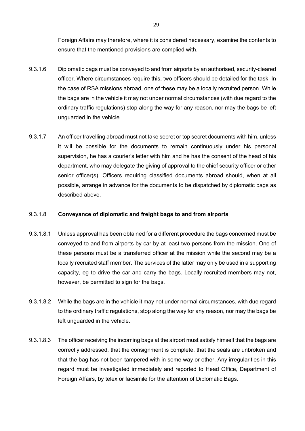Foreign Affairs may therefore, where it is considered necessary, examine the contents to ensure that the mentioned provisions are complied with.

- 9.3.1.6 Diplomatic bags must be conveyed to and from airports by an authorised, security-cleared officer. Where circumstances require this, two officers should be detailed for the task. In the case of RSA missions abroad, one of these may be a locally recruited person. While the bags are in the vehicle it may not under normal circumstances (with due regard to the ordinary traffic regulations) stop along the way for any reason, nor may the bags be left unguarded in the vehicle.
- 9.3.1.7 An officer travelling abroad must not take secret or top secret documents with him, unless it will be possible for the documents to remain continuously under his personal supervision, he has a courier's letter with him and he has the consent of the head of his department, who may delegate the giving of approval to the chief security officer or other senior officer(s). Officers requiring classified documents abroad should, when at all possible, arrange in advance for the documents to be dispatched by diplomatic bags as described above.

#### 9.3.1.8 **Conveyance of diplomatic and freight bags to and from airports**

- 9.3.1.8.1 Unless approval has been obtained for a different procedure the bags concerned must be conveyed to and from airports by car by at least two persons from the mission. One of these persons must be a transferred officer at the mission while the second may be a locally recruited staff member. The services of the latter may only be used in a supporting capacity, eg to drive the car and carry the bags. Locally recruited members may not, however, be permitted to sign for the bags.
- 9.3.1.8.2 While the bags are in the vehicle it may not under normal circumstances, with due regard to the ordinary traffic regulations, stop along the way for any reason, nor may the bags be left unguarded in the vehicle.
- 9.3.1.8.3 The officer receiving the incoming bags at the airport must satisfy himself that the bags are correctly addressed, that the consignment is complete, that the seals are unbroken and that the bag has not been tampered with in some way or other. Any irregularities in this regard must be investigated immediately and reported to Head Office, Department of Foreign Affairs, by telex or facsimile for the attention of Diplomatic Bags.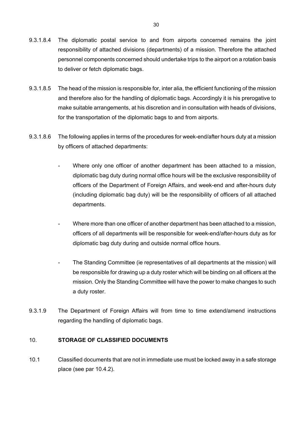- 9.3.1.8.4 The diplomatic postal service to and from airports concerned remains the joint responsibility of attached divisions (departments) of a mission. Therefore the attached personnel components concerned should undertake trips to the airport on a rotation basis to deliver or fetch diplomatic bags.
- 9.3.1.8.5 The head of the mission is responsible for, inter alia, the efficient functioning of the mission and therefore also for the handling of diplomatic bags. Accordingly it is his prerogative to make suitable arrangements, at his discretion and in consultation with heads of divisions, for the transportation of the diplomatic bags to and from airports.
- 9.3.1.8.6 The following applies in terms of the procedures for week-end/after hours duty at a mission by officers of attached departments:
	- Where only one officer of another department has been attached to a mission, diplomatic bag duty during normal office hours will be the exclusive responsibility of officers of the Department of Foreign Affairs, and week-end and after-hours duty (including diplomatic bag duty) will be the responsibility of officers of all attached departments.
	- Where more than one officer of another department has been attached to a mission, officers of all departments will be responsible for week-end/after-hours duty as for diplomatic bag duty during and outside normal office hours.
	- The Standing Committee (ie representatives of all departments at the mission) will be responsible for drawing up a duty roster which will be binding on all officers at the mission. Only the Standing Committee will have the power to make changes to such a duty roster.
- 9.3.1.9 The Department of Foreign Affairs will from time to time extend/amend instructions regarding the handling of diplomatic bags.

### 10. **STORAGE OF CLASSIFIED DOCUMENTS**

10.1 Classified documents that are not in immediate use must be locked away in a safe storage place (see par 10.4.2).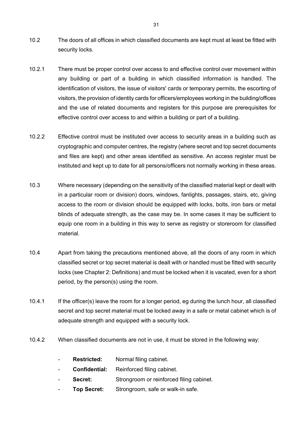- 10.2 The doors of all offices in which classified documents are kept must at least be fitted with security locks.
- 10.2.1 There must be proper control over access to and effective control over movement within any building or part of a building in which classified information is handled. The identification of visitors, the issue of visitors' cards or temporary permits, the escorting of visitors, the provision of identity cards for officers/employees working in the building/offices and the use of related documents and registers for this purpose are prerequisites for effective control over access to and within a building or part of a building.
- 10.2.2 Effective control must be instituted over access to security areas in a building such as cryptographic and computer centres, the registry (where secret and top secret documents and files are kept) and other areas identified as sensitive. An access register must be instituted and kept up to date for all persons/officers not normally working in these areas.
- 10.3 Where necessary (depending on the sensitivity of the classified material kept or dealt with in a particular room or division) doors, windows, fanlights, passages, stairs, etc, giving access to the room or division should be equipped with locks, bolts, iron bars or metal blinds of adequate strength, as the case may be. In some cases it may be sufficient to equip one room in a building in this way to serve as registry or storeroom for classified material.
- 10.4 Apart from taking the precautions mentioned above, all the doors of any room in which classified secret or top secret material is dealt with or handled must be fitted with security locks (see Chapter 2: Definitions) and must be locked when it is vacated, even for a short period, by the person(s) using the room.
- 10.4.1 If the officer(s) leave the room for a longer period, eg during the lunch hour, all classified secret and top secret material must be locked away in a safe or metal cabinet which is of adequate strength and equipped with a security lock.
- 10.4.2 When classified documents are not in use, it must be stored in the following way:
	- Restricted: Normal filing cabinet.
	- **Confidential:** Reinforced filing cabinet.
	- **Secret:** Strongroom or reinforced filing cabinet.
	- Top Secret: Strongroom, safe or walk-in safe.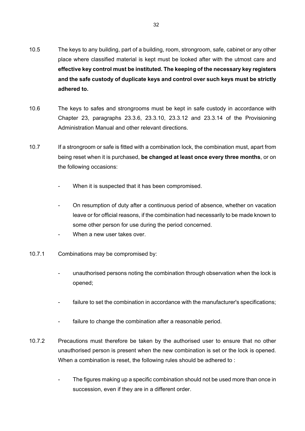- 10.5 The keys to any building, part of a building, room, strongroom, safe, cabinet or any other place where classified material is kept must be looked after with the utmost care and **effective key control must be instituted. The keeping of the necessary key registers and the safe custody of duplicate keys and control over such keys must be strictly adhered to.**
- 10.6 The keys to safes and strongrooms must be kept in safe custody in accordance with Chapter 23, paragraphs 23.3.6, 23.3.10, 23.3.12 and 23.3.14 of the Provisioning Administration Manual and other relevant directions.
- 10.7 If a strongroom or safe is fitted with a combination lock, the combination must, apart from being reset when it is purchased, **be changed at least once every three months**, or on the following occasions:
	- When it is suspected that it has been compromised.
	- On resumption of duty after a continuous period of absence, whether on vacation leave or for official reasons, if the combination had necessarily to be made known to some other person for use during the period concerned.
	- When a new user takes over.
- 10.7.1 Combinations may be compromised by:
	- unauthorised persons noting the combination through observation when the lock is opened;
	- failure to set the combination in accordance with the manufacturer's specifications;
	- failure to change the combination after a reasonable period.
- 10.7.2 Precautions must therefore be taken by the authorised user to ensure that no other unauthorised person is present when the new combination is set or the lock is opened. When a combination is reset, the following rules should be adhered to :
	- The figures making up a specific combination should not be used more than once in succession, even if they are in a different order.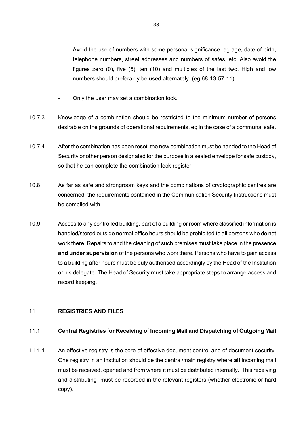- Avoid the use of numbers with some personal significance, eg age, date of birth, telephone numbers, street addresses and numbers of safes, etc. Also avoid the figures zero (0), five (5), ten (10) and multiples of the last two. High and low numbers should preferably be used alternately. (eg 68-13-57-11)
- Only the user may set a combination lock.
- 10.7.3 Knowledge of a combination should be restricted to the minimum number of persons desirable on the grounds of operational requirements, eg in the case of a communal safe.
- 10.7.4 After the combination has been reset, the new combination must be handed to the Head of Security or other person designated for the purpose in a sealed envelope for safe custody, so that he can complete the combination lock register.
- 10.8 As far as safe and strongroom keys and the combinations of cryptographic centres are concerned, the requirements contained in the Communication Security Instructions must be complied with.
- 10.9 Access to any controlled building, part of a building or room where classified information is handled/stored outside normal office hours should be prohibited to all persons who do not work there. Repairs to and the cleaning of such premises must take place in the presence **and under supervision** of the persons who work there. Persons who have to gain access to a building after hours must be duly authorised accordingly by the Head of the Institution or his delegate. The Head of Security must take appropriate steps to arrange access and record keeping.

#### 11. **REGISTRIES AND FILES**

#### 11.1 **Central Registries for Receiving of Incoming Mail and Dispatching of Outgoing Mail**

11.1.1 An effective registry is the core of effective document control and of document security. One registry in an institution should be the central/main registry where **all** incoming mail must be received, opened and from where it must be distributed internally. This receiving and distributing must be recorded in the relevant registers (whether electronic or hard copy).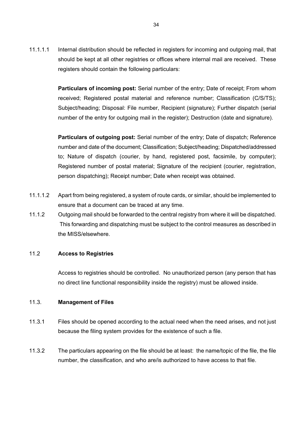11.1.1.1 Internal distribution should be reflected in registers for incoming and outgoing mail, that should be kept at all other registries or offices where internal mail are received. These registers should contain the following particulars:

> **Particulars of incoming post:** Serial number of the entry; Date of receipt; From whom received; Registered postal material and reference number; Classification (C/S/TS); Subject/heading; Disposal: File number, Recipient (signature); Further dispatch (serial number of the entry for outgoing mail in the register); Destruction (date and signature).

> **Particulars of outgoing post:** Serial number of the entry; Date of dispatch; Reference number and date of the document; Classification; Subject/heading; Dispatched/addressed to; Nature of dispatch (courier, by hand, registered post, facsimile, by computer); Registered number of postal material; Signature of the recipient (courier, registration, person dispatching); Receipt number; Date when receipt was obtained.

- 11.1.1.2 Apart from being registered, a system of route cards, or similar, should be implemented to ensure that a document can be traced at any time.
- 11.1.2 Outgoing mail should be forwarded to the central registry from where it will be dispatched. This forwarding and dispatching must be subject to the control measures as described in the MISS/elsewhere.

#### 11.2 **Access to Registries**

Access to registries should be controlled. No unauthorized person (any person that has no direct line functional responsibility inside the registry) must be allowed inside.

#### 11.3. **Management of Files**

- 11.3.1 Files should be opened according to the actual need when the need arises, and not just because the filing system provides for the existence of such a file.
- 11.3.2 The particulars appearing on the file should be at least: the name/topic of the file, the file number, the classification, and who are/is authorized to have access to that file.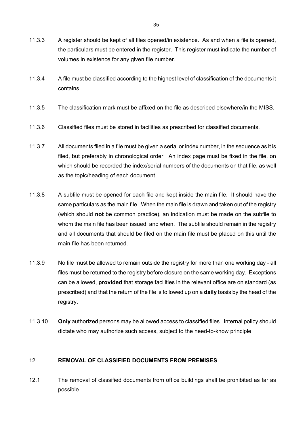- 11.3.3 A register should be kept of all files opened/in existence. As and when a file is opened, the particulars must be entered in the register. This register must indicate the number of volumes in existence for any given file number.
- 11.3.4 A file must be classified according to the highest level of classification of the documents it contains.
- 11.3.5 The classification mark must be affixed on the file as described elsewhere/in the MISS.
- 11.3.6 Classified files must be stored in facilities as prescribed for classified documents.
- 11.3.7 All documents filed in a file must be given a serial or index number, in the sequence as it is filed, but preferably in chronological order. An index page must be fixed in the file, on which should be recorded the index/serial numbers of the documents on that file, as well as the topic/heading of each document.
- 11.3.8 A subfile must be opened for each file and kept inside the main file. It should have the same particulars as the main file. When the main file is drawn and taken out of the registry (which should **not** be common practice), an indication must be made on the subfile to whom the main file has been issued, and when. The subfile should remain in the registry and all documents that should be filed on the main file must be placed on this until the main file has been returned.
- 11.3.9 No file must be allowed to remain outside the registry for more than one working day all files must be returned to the registry before closure on the same working day. Exceptions can be allowed, **provided** that storage facilities in the relevant office are on standard (as prescribed) and that the return of the file is followed up on a **daily** basis by the head of the registry.
- 11.3.10 **Only** authorized persons may be allowed access to classified files. Internal policy should dictate who may authorize such access, subject to the need-to-know principle.

#### 12. **REMOVAL OF CLASSIFIED DOCUMENTS FROM PREMISES**

12.1 The removal of classified documents from office buildings shall be prohibited as far as possible.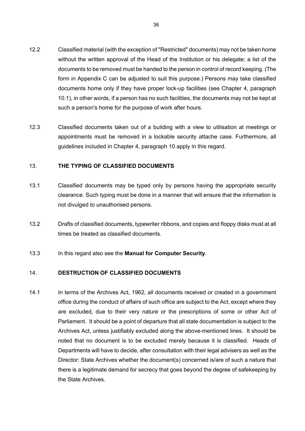- 12.2 Classified material (with the exception of "Restricted" documents) may not be taken home without the written approval of the Head of the Institution or his delegate; a list of the documents to be removed must be handed to the person in control of record keeping. (The form in Appendix C can be adjusted to suit this purpose.) Persons may take classified documents home only if they have proper lock-up facilities (see Chapter 4, paragraph 10.1), in other words, if a person has no such facilities, the documents may not be kept at such a person's home for the purpose of work after hours.
- 12.3 Classified documents taken out of a building with a view to utilisation at meetings or appointments must be removed in a lockable security attache case. Furthermore, all guidelines included in Chapter 4, paragraph 10 apply in this regard.

#### 13. **THE TYPING OF CLASSIFIED DOCUMENTS**

- 13.1 Classified documents may be typed only by persons having the appropriate security clearance. Such typing must be done in a manner that will ensure that the information is not divulged to unauthorised persons.
- 13.2 Drafts of classified documents, typewriter ribbons, and copies and floppy disks must at all times be treated as classified documents.
- 13.3 In this regard also see the **Manual for Computer Security**.

### 14. **DESTRUCTION OF CLASSIFIED DOCUMENTS**

14.1 In terms of the Archives Act, 1962, all documents received or created in a government office during the conduct of affairs of such office are subject to the Act, except where they are excluded, due to their very nature or the prescriptions of some or other Act of Parliament. It should be a point of departure that all state documentation is subject to the Archives Act, unless justifiably excluded along the above-mentioned lines. It should be noted that no document is to be excluded merely because it is classified. Heads of Departments will have to decide, after consultation with their legal advisers as well as the Director: State Archives whether the document(s) concerned is/are of such a nature that there is a legitimate demand for secrecy that goes beyond the degree of safekeeping by the State Archives.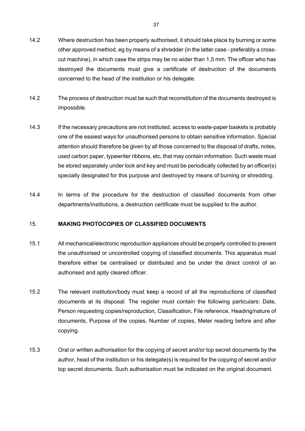- 14.2 Where destruction has been properly authorised, it should take place by burning or some other approved method, eg by means of a shredder (in the latter case - preferably a crosscut machine), in which case the strips may be no wider than 1,5 mm. The officer who has destroyed the documents must give a certificate of destruction of the documents concerned to the head of the institution or his delegate.
- 14.2 The process of destruction must be such that reconstitution of the documents destroyed is impossible.
- 14.3 If the necessary precautions are not instituted, access to waste-paper baskets is probably one of the easiest ways for unauthorised persons to obtain sensitive information. Special attention should therefore be given by all those concerned to the disposal of drafts, notes, used carbon paper, typewriter ribbons, etc, that may contain information. Such waste must be stored separately under lock and key and must be periodically collected by an officer(s) specially designated for this purpose and destroyed by means of burning or shredding.
- 14.4 In terms of the procedure for the destruction of classified documents from other departments/institutions, a destruction certificate must be supplied to the author.

#### 15. **MAKING PHOTOCOPIES OF CLASSIFIED DOCUMENTS**

- 15.1 All mechanical/electronic reproduction appliances should be properly controlled to prevent the unauthorised or uncontrolled copying of classified documents. This apparatus must therefore either be centralised or distributed and be under the direct control of an authorised and aptly cleared officer.
- 15.2 The relevant institution/body must keep a record of all the reproductions of classified documents at its disposal. The register must contain the following particulars: Date, Person requesting copies/reproduction, Classification, File reference, Heading/nature of documents, Purpose of the copies, Number of copies, Meter reading before and after copying.
- 15.3 Oral or written authorisation for the copying of secret and/or top secret documents by the author, head of the institution or his delegate(s) is required for the copying of secret and/or top secret documents. Such authorisation must be indicated on the original document.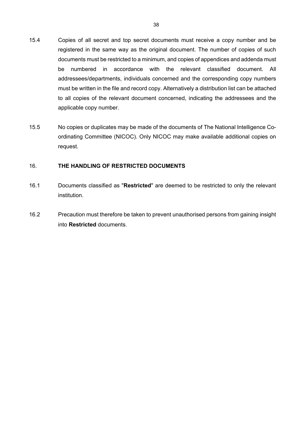- 15.4 Copies of all secret and top secret documents must receive a copy number and be registered in the same way as the original document. The number of copies of such documents must be restricted to a minimum, and copies of appendices and addenda must be numbered in accordance with the relevant classified document. All addressees/departments, individuals concerned and the corresponding copy numbers must be written in the file and record copy. Alternatively a distribution list can be attached to all copies of the relevant document concerned, indicating the addressees and the applicable copy number.
- 15.5 No copies or duplicates may be made of the documents of The National Intelligence Coordinating Committee (NICOC). Only NICOC may make available additional copies on request.

#### 16. **THE HANDLING OF RESTRICTED DOCUMENTS**

- 16.1 Documents classified as "**Restricted**" are deemed to be restricted to only the relevant institution.
- 16.2 Precaution must therefore be taken to prevent unauthorised persons from gaining insight into **Restricted** documents.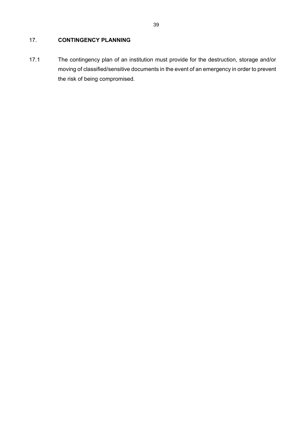### 17. **CONTINGENCY PLANNING**

17.1 The contingency plan of an institution must provide for the destruction, storage and/or moving of classified/sensitive documents in the event of an emergency in order to prevent the risk of being compromised.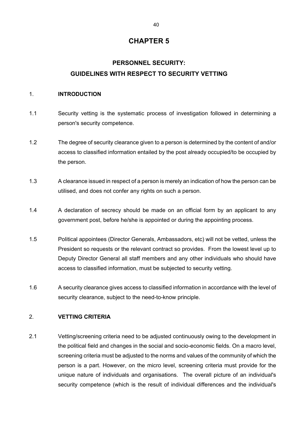# **PERSONNEL SECURITY: GUIDELINES WITH RESPECT TO SECURITY VETTING**

#### 1. **INTRODUCTION**

- 1.1 Security vetting is the systematic process of investigation followed in determining a person's security competence.
- 1.2 The degree of security clearance given to a person is determined by the content of and/or access to classified information entailed by the post already occupied/to be occupied by the person.
- 1.3 A clearance issued in respect of a person is merely an indication of how the person can be utilised, and does not confer any rights on such a person.
- 1.4 A declaration of secrecy should be made on an official form by an applicant to any government post, before he/she is appointed or during the appointing process.
- 1.5 Political appointees (Director Generals, Ambassadors, etc) will not be vetted, unless the President so requests or the relevant contract so provides. From the lowest level up to Deputy Director General all staff members and any other individuals who should have access to classified information, must be subjected to security vetting.
- 1.6 A security clearance gives access to classified information in accordance with the level of security clearance, subject to the need-to-know principle.

### 2. **VETTING CRITERIA**

2.1 Vetting/screening criteria need to be adjusted continuously owing to the development in the political field and changes in the social and socio-economic fields. On a macro level, screening criteria must be adjusted to the norms and values of the community of which the person is a part. However, on the micro level, screening criteria must provide for the unique nature of individuals and organisations. The overall picture of an individual's security competence (which is the result of individual differences and the individual's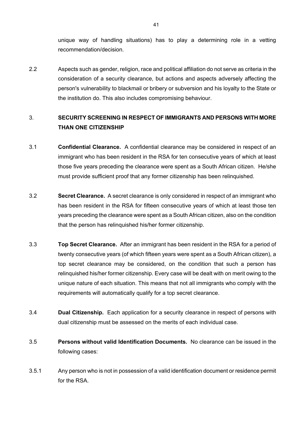unique way of handling situations) has to play a determining role in a vetting recommendation/decision.

2.2 Aspects such as gender, religion, race and political affiliation do not serve as criteria in the consideration of a security clearance, but actions and aspects adversely affecting the person's vulnerability to blackmail or bribery or subversion and his loyalty to the State or the institution do. This also includes compromising behaviour.

# 3. **SECURITY SCREENING IN RESPECT OF IMMIGRANTS AND PERSONS WITH MORE THAN ONE CITIZENSHIP**

- 3.1 **Confidential Clearance.** A confidential clearance may be considered in respect of an immigrant who has been resident in the RSA for ten consecutive years of which at least those five years preceding the clearance were spent as a South African citizen. He/she must provide sufficient proof that any former citizenship has been relinquished.
- 3.2 **Secret Clearance.** A secret clearance is only considered in respect of an immigrant who has been resident in the RSA for fifteen consecutive years of which at least those ten years preceding the clearance were spent as a South African citizen, also on the condition that the person has relinquished his/her former citizenship.
- 3.3 **Top Secret Clearance.** After an immigrant has been resident in the RSA for a period of twenty consecutive years (of which fifteen years were spent as a South African citizen), a top secret clearance may be considered, on the condition that such a person has relinquished his/her former citizenship. Every case will be dealt with on merit owing to the unique nature of each situation. This means that not all immigrants who comply with the requirements will automatically qualify for a top secret clearance.
- 3.4 **Dual Citizenship.** Each application for a security clearance in respect of persons with dual citizenship must be assessed on the merits of each individual case.
- 3.5 **Persons without valid Identification Documents.** No clearance can be issued in the following cases:
- 3.5.1 Any person who is not in possession of a valid identification document or residence permit for the RSA.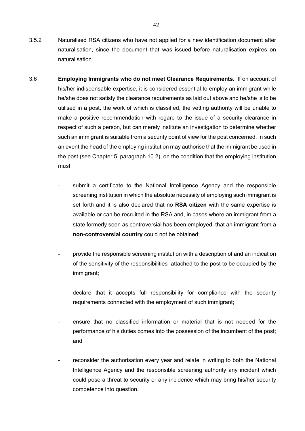- 3.5.2 Naturalised RSA citizens who have not applied for a new identification document after naturalisation, since the document that was issued before naturalisation expires on naturalisation.
- 3.6 **Employing Immigrants who do not meet Clearance Requirements.** If on account of his/her indispensable expertise, it is considered essential to employ an immigrant while he/she does not satisfy the clearance requirements as laid out above and he/she is to be utilised in a post, the work of which is classified, the vetting authority will be unable to make a positive recommendation with regard to the issue of a security clearance in respect of such a person, but can merely institute an investigation to determine whether such an immigrant is suitable from a security point of view for the post concerned. In such an event the head of the employing institution may authorise that the immigrant be used in the post (see Chapter 5, paragraph 10.2), on the condition that the employing institution must
	- submit a certificate to the National Intelligence Agency and the responsible screening institution in which the absolute necessity of employing such immigrant is set forth and it is also declared that no **RSA citizen** with the same expertise is available or can be recruited in the RSA and, in cases where an immigrant from a state formerly seen as controversial has been employed, that an immigrant from **a non-controversial country** could not be obtained;
	- provide the responsible screening institution with a description of and an indication of the sensitivity of the responsibilities attached to the post to be occupied by the immigrant;
	- declare that it accepts full responsibility for compliance with the security requirements connected with the employment of such immigrant;
	- ensure that no classified information or material that is not needed for the performance of his duties comes into the possession of the incumbent of the post; and
	- reconsider the authorisation every year and relate in writing to both the National Intelligence Agency and the responsible screening authority any incident which could pose a threat to security or any incidence which may bring his/her security competence into question.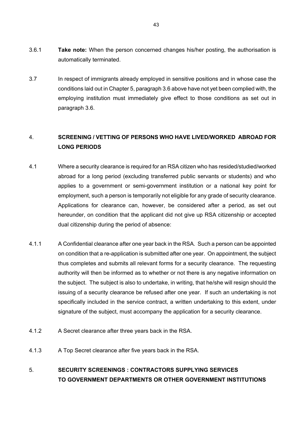- 3.6.1 **Take note:** When the person concerned changes his/her posting, the authorisation is automatically terminated.
- 3.7 In respect of immigrants already employed in sensitive positions and in whose case the conditions laid out in Chapter 5, paragraph 3.6 above have not yet been complied with, the employing institution must immediately give effect to those conditions as set out in paragraph 3.6.

# 4. **SCREENING / VETTING OF PERSONS WHO HAVE LIVED/WORKED ABROAD FOR LONG PERIODS**

- 4.1 Where a security clearance is required for an RSA citizen who has resided/studied/worked abroad for a long period (excluding transferred public servants or students) and who applies to a government or semi-government institution or a national key point for employment, such a person is temporarily not eligible for any grade of security clearance. Applications for clearance can, however, be considered after a period, as set out hereunder, on condition that the applicant did not give up RSA citizenship or accepted dual citizenship during the period of absence:
- 4.1.1 A Confidential clearance after one year back in the RSA. Such a person can be appointed on condition that a re-application is submitted after one year. On appointment, the subject thus completes and submits all relevant forms for a security clearance. The requesting authority will then be informed as to whether or not there is any negative information on the subject. The subject is also to undertake, in writing, that he/she will resign should the issuing of a security clearance be refused after one year. If such an undertaking is not specifically included in the service contract, a written undertaking to this extent, under signature of the subject, must accompany the application for a security clearance.
- 4.1.2 A Secret clearance after three years back in the RSA.
- 4.1.3 A Top Secret clearance after five years back in the RSA.

# 5. **SECURITY SCREENINGS : CONTRACTORS SUPPLYING SERVICES TO GOVERNMENT DEPARTMENTS OR OTHER GOVERNMENT INSTITUTIONS**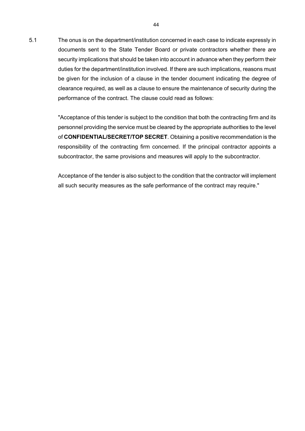5.1 The onus is on the department/institution concerned in each case to indicate expressly in documents sent to the State Tender Board or private contractors whether there are security implications that should be taken into account in advance when they perform their duties for the department/institution involved. If there are such implications, reasons must be given for the inclusion of a clause in the tender document indicating the degree of clearance required, as well as a clause to ensure the maintenance of security during the performance of the contract. The clause could read as follows:

> "Acceptance of this tender is subject to the condition that both the contracting firm and its personnel providing the service must be cleared by the appropriate authorities to the level of **CONFIDENTIAL/SECRET/TOP SECRET**. Obtaining a positive recommendation is the responsibility of the contracting firm concerned. If the principal contractor appoints a subcontractor, the same provisions and measures will apply to the subcontractor.

> Acceptance of the tender is also subject to the condition that the contractor will implement all such security measures as the safe performance of the contract may require."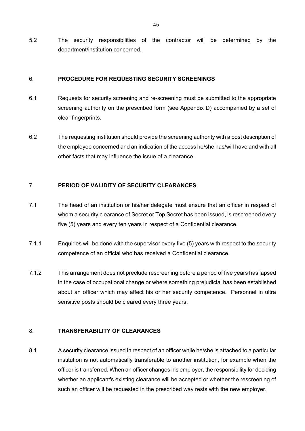5.2 The security responsibilities of the contractor will be determined by the department/institution concerned.

#### 6. **PROCEDURE FOR REQUESTING SECURITY SCREENINGS**

- 6.1 Requests for security screening and re-screening must be submitted to the appropriate screening authority on the prescribed form (see Appendix D) accompanied by a set of clear fingerprints.
- 6.2 The requesting institution should provide the screening authority with a post description of the employee concerned and an indication of the access he/she has/will have and with all other facts that may influence the issue of a clearance.

#### 7. **PERIOD OF VALIDITY OF SECURITY CLEARANCES**

- 7.1 The head of an institution or his/her delegate must ensure that an officer in respect of whom a security clearance of Secret or Top Secret has been issued, is rescreened every five (5) years and every ten years in respect of a Confidential clearance.
- 7.1.1 Enquiries will be done with the supervisor every five (5) years with respect to the security competence of an official who has received a Confidential clearance.
- 7.1.2 This arrangement does not preclude rescreening before a period of five years has lapsed in the case of occupational change or where something prejudicial has been established about an officer which may affect his or her security competence. Personnel in ultra sensitive posts should be cleared every three years.

#### 8. **TRANSFERABILITY OF CLEARANCES**

8.1 A security clearance issued in respect of an officer while he/she is attached to a particular institution is not automatically transferable to another institution, for example when the officer is transferred. When an officer changes his employer, the responsibility for deciding whether an applicant's existing clearance will be accepted or whether the rescreening of such an officer will be requested in the prescribed way rests with the new employer.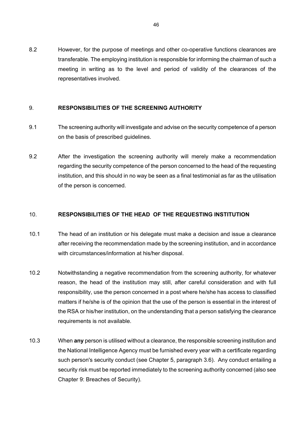8.2 However, for the purpose of meetings and other co-operative functions clearances are transferable. The employing institution is responsible for informing the chairman of such a meeting in writing as to the level and period of validity of the clearances of the representatives involved.

#### 9. **RESPONSIBILITIES OF THE SCREENING AUTHORITY**

- 9.1 The screening authority will investigate and advise on the security competence of a person on the basis of prescribed guidelines.
- 9.2 After the investigation the screening authority will merely make a recommendation regarding the security competence of the person concerned to the head of the requesting institution, and this should in no way be seen as a final testimonial as far as the utilisation of the person is concerned.

### 10. **RESPONSIBILITIES OF THE HEAD OF THE REQUESTING INSTITUTION**

- 10.1 The head of an institution or his delegate must make a decision and issue a clearance after receiving the recommendation made by the screening institution, and in accordance with circumstances/information at his/her disposal.
- 10.2 Notwithstanding a negative recommendation from the screening authority, for whatever reason, the head of the institution may still, after careful consideration and with full responsibility, use the person concerned in a post where he/she has access to classified matters if he/she is of the opinion that the use of the person is essential in the interest of the RSA or his/her institution, on the understanding that a person satisfying the clearance requirements is not available.
- 10.3 When **any** person is utilised without a clearance, the responsible screening institution and the National Intelligence Agency must be furnished every year with a certificate regarding such person's security conduct (see Chapter 5, paragraph 3.6). Any conduct entailing a security risk must be reported immediately to the screening authority concerned (also see Chapter 9: Breaches of Security).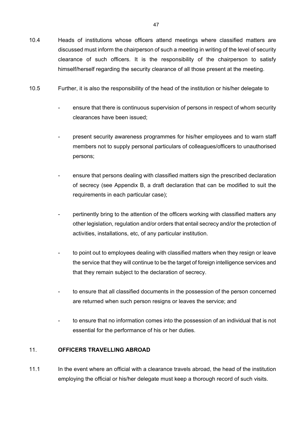- 10.4 Heads of institutions whose officers attend meetings where classified matters are discussed must inform the chairperson of such a meeting in writing of the level of security clearance of such officers. It is the responsibility of the chairperson to satisfy himself/herself regarding the security clearance of all those present at the meeting.
- 10.5 Further, it is also the responsibility of the head of the institution or his/her delegate to
	- ensure that there is continuous supervision of persons in respect of whom security clearances have been issued;
	- present security awareness programmes for his/her employees and to warn staff members not to supply personal particulars of colleagues/officers to unauthorised persons;
	- ensure that persons dealing with classified matters sign the prescribed declaration of secrecy (see Appendix B, a draft declaration that can be modified to suit the requirements in each particular case);
	- pertinently bring to the attention of the officers working with classified matters any other legislation, regulation and/or orders that entail secrecy and/or the protection of activities, installations, etc, of any particular institution.
	- to point out to employees dealing with classified matters when they resign or leave the service that they will continue to be the target of foreign intelligence services and that they remain subject to the declaration of secrecy.
	- to ensure that all classified documents in the possession of the person concerned are returned when such person resigns or leaves the service; and
	- to ensure that no information comes into the possession of an individual that is not essential for the performance of his or her duties.

### 11. **OFFICERS TRAVELLING ABROAD**

11.1 In the event where an official with a clearance travels abroad, the head of the institution employing the official or his/her delegate must keep a thorough record of such visits.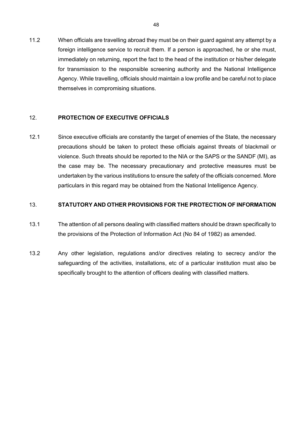11.2 When officials are travelling abroad they must be on their guard against any attempt by a foreign intelligence service to recruit them. If a person is approached, he or she must, immediately on returning, report the fact to the head of the institution or his/her delegate for transmission to the responsible screening authority and the National Intelligence Agency. While travelling, officials should maintain a low profile and be careful not to place themselves in compromising situations.

### 12. **PROTECTION OF EXECUTIVE OFFICIALS**

12.1 Since executive officials are constantly the target of enemies of the State, the necessary precautions should be taken to protect these officials against threats of blackmail or violence. Such threats should be reported to the NIA or the SAPS or the SANDF (MI), as the case may be. The necessary precautionary and protective measures must be undertaken by the various institutions to ensure the safety of the officials concerned. More particulars in this regard may be obtained from the National Intelligence Agency.

#### 13. **STATUTORY AND OTHER PROVISIONS FOR THE PROTECTION OF INFORMATION**

- 13.1 The attention of all persons dealing with classified matters should be drawn specifically to the provisions of the Protection of Information Act (No 84 of 1982) as amended.
- 13.2 Any other legislation, regulations and/or directives relating to secrecy and/or the safeguarding of the activities, installations, etc of a particular institution must also be specifically brought to the attention of officers dealing with classified matters.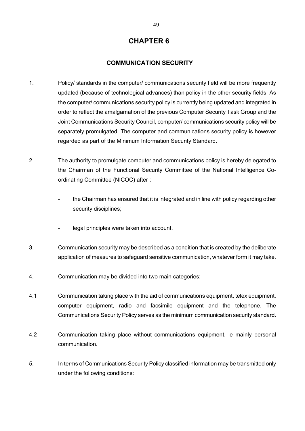#### **COMMUNICATION SECURITY**

- 1. Policy/ standards in the computer/ communications security field will be more frequently updated (because of technological advances) than policy in the other security fields. As the computer/ communications security policy is currently being updated and integrated in order to reflect the amalgamation of the previous Computer Security Task Group and the Joint Communications Security Council, computer/ communications security policy will be separately promulgated. The computer and communications security policy is however regarded as part of the Minimum Information Security Standard.
- 2. The authority to promulgate computer and communications policy is hereby delegated to the Chairman of the Functional Security Committee of the National Intelligence Coordinating Committee (NICOC) after :
	- the Chairman has ensured that it is integrated and in line with policy regarding other security disciplines;
	- legal principles were taken into account.
- 3. Communication security may be described as a condition that is created by the deliberate application of measures to safeguard sensitive communication, whatever form it may take.
- 4. Communication may be divided into two main categories:
- 4.1 Communication taking place with the aid of communications equipment, telex equipment, computer equipment, radio and facsimile equipment and the telephone. The Communications Security Policy serves as the minimum communication security standard.
- 4.2 Communication taking place without communications equipment, ie mainly personal communication.
- 5. In terms of Communications Security Policy classified information may be transmitted only under the following conditions: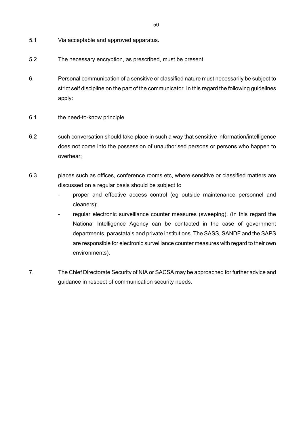- 5.1 Via acceptable and approved apparatus.
- 5.2 The necessary encryption, as prescribed, must be present.
- 6. Personal communication of a sensitive or classified nature must necessarily be subject to strict self discipline on the part of the communicator. In this regard the following guidelines apply:
- 6.1 the need-to-know principle.
- 6.2 such conversation should take place in such a way that sensitive information/intelligence does not come into the possession of unauthorised persons or persons who happen to overhear;
- 6.3 places such as offices, conference rooms etc, where sensitive or classified matters are discussed on a regular basis should be subject to
	- proper and effective access control (eg outside maintenance personnel and cleaners);
	- regular electronic surveillance counter measures (sweeping). (In this regard the National Intelligence Agency can be contacted in the case of government departments, parastatals and private institutions. The SASS, SANDF and the SAPS are responsible for electronic surveillance counter measures with regard to their own environments).
- 7. The Chief Directorate Security of NIA or SACSA may be approached for further advice and guidance in respect of communication security needs.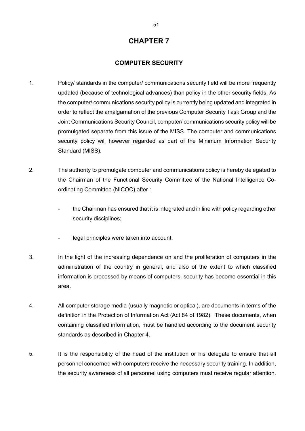#### **COMPUTER SECURITY**

- 1. Policy/ standards in the computer/ communications security field will be more frequently updated (because of technological advances) than policy in the other security fields. As the computer/ communications security policy is currently being updated and integrated in order to reflect the amalgamation of the previous Computer Security Task Group and the Joint Communications Security Council, computer/ communications security policy will be promulgated separate from this issue of the MISS. The computer and communications security policy will however regarded as part of the Minimum Information Security Standard (MISS).
- 2. The authority to promulgate computer and communications policy is hereby delegated to the Chairman of the Functional Security Committee of the National Intelligence Coordinating Committee (NICOC) after :
	- the Chairman has ensured that it is integrated and in line with policy regarding other security disciplines;
	- legal principles were taken into account.
- 3. In the light of the increasing dependence on and the proliferation of computers in the administration of the country in general, and also of the extent to which classified information is processed by means of computers, security has become essential in this area.
- 4. All computer storage media (usually magnetic or optical), are documents in terms of the definition in the Protection of Information Act (Act 84 of 1982). These documents, when containing classified information, must be handled according to the document security standards as described in Chapter 4.
- 5. It is the responsibility of the head of the institution or his delegate to ensure that all personnel concerned with computers receive the necessary security training. In addition, the security awareness of all personnel using computers must receive regular attention.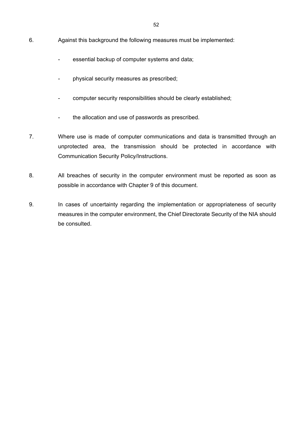- 6. Against this background the following measures must be implemented:
	- essential backup of computer systems and data;
	- physical security measures as prescribed;
	- computer security responsibilities should be clearly established;
	- the allocation and use of passwords as prescribed.
- 7. Where use is made of computer communications and data is transmitted through an unprotected area, the transmission should be protected in accordance with Communication Security Policy/Instructions.
- 8. All breaches of security in the computer environment must be reported as soon as possible in accordance with Chapter 9 of this document.
- 9. In cases of uncertainty regarding the implementation or appropriateness of security measures in the computer environment, the Chief Directorate Security of the NIA should be consulted.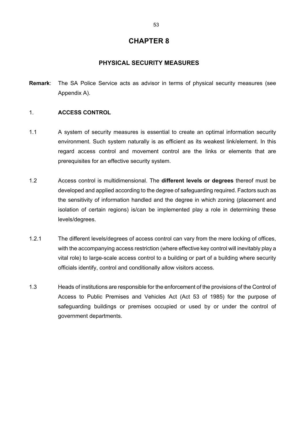### **PHYSICAL SECURITY MEASURES**

**Remark**: The SA Police Service acts as advisor in terms of physical security measures (see Appendix A).

#### 1. **ACCESS CONTROL**

- 1.1 A system of security measures is essential to create an optimal information security environment. Such system naturally is as efficient as its weakest link/element. In this regard access control and movement control are the links or elements that are prerequisites for an effective security system.
- 1.2 Access control is multidimensional. The **different levels or degrees** thereof must be developed and applied according to the degree of safeguarding required. Factors such as the sensitivity of information handled and the degree in which zoning (placement and isolation of certain regions) is/can be implemented play a role in determining these levels/degrees.
- 1.2.1 The different levels/degrees of access control can vary from the mere locking of offices, with the accompanying access restriction (where effective key control will inevitably play a vital role) to large-scale access control to a building or part of a building where security officials identify, control and conditionally allow visitors access.
- 1.3 Heads of institutions are responsible for the enforcement of the provisions of the Control of Access to Public Premises and Vehicles Act (Act 53 of 1985) for the purpose of safeguarding buildings or premises occupied or used by or under the control of government departments.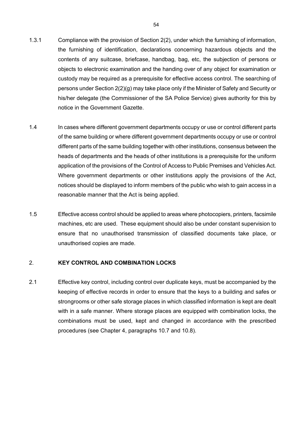- 1.3.1 Compliance with the provision of Section 2(2), under which the furnishing of information, the furnishing of identification, declarations concerning hazardous objects and the contents of any suitcase, briefcase, handbag, bag, etc, the subjection of persons or objects to electronic examination and the handing over of any object for examination or custody may be required as a prerequisite for effective access control. The searching of persons under Section 2(2)(g) may take place only if the Minister of Safety and Security or his/her delegate (the Commissioner of the SA Police Service) gives authority for this by notice in the Government Gazette.
- 1.4 In cases where different government departments occupy or use or control different parts of the same building or where different government departments occupy or use or control different parts of the same building together with other institutions, consensus between the heads of departments and the heads of other institutions is a prerequisite for the uniform application of the provisions of the Control of Access to Public Premises and Vehicles Act. Where government departments or other institutions apply the provisions of the Act, notices should be displayed to inform members of the public who wish to gain access in a reasonable manner that the Act is being applied.
- 1.5 Effective access control should be applied to areas where photocopiers, printers, facsimile machines, etc are used. These equipment should also be under constant supervision to ensure that no unauthorised transmission of classified documents take place, or unauthorised copies are made.

### 2. **KEY CONTROL AND COMBINATION LOCKS**

2.1 Effective key control, including control over duplicate keys, must be accompanied by the keeping of effective records in order to ensure that the keys to a building and safes or strongrooms or other safe storage places in which classified information is kept are dealt with in a safe manner. Where storage places are equipped with combination locks, the combinations must be used, kept and changed in accordance with the prescribed procedures (see Chapter 4, paragraphs 10.7 and 10.8).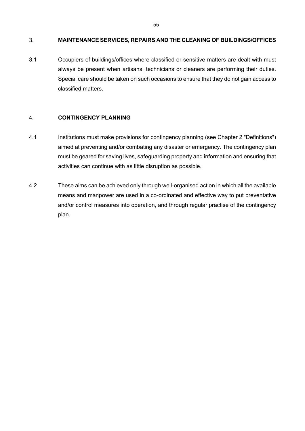#### 3. **MAINTENANCE SERVICES, REPAIRS AND THE CLEANING OF BUILDINGS/OFFICES**

3.1 Occupiers of buildings/offices where classified or sensitive matters are dealt with must always be present when artisans, technicians or cleaners are performing their duties. Special care should be taken on such occasions to ensure that they do not gain access to classified matters.

#### 4. **CONTINGENCY PLANNING**

- 4.1 Institutions must make provisions for contingency planning (see Chapter 2 "Definitions") aimed at preventing and/or combating any disaster or emergency. The contingency plan must be geared for saving lives, safeguarding property and information and ensuring that activities can continue with as little disruption as possible.
- 4.2 These aims can be achieved only through well-organised action in which all the available means and manpower are used in a co-ordinated and effective way to put preventative and/or control measures into operation, and through regular practise of the contingency plan.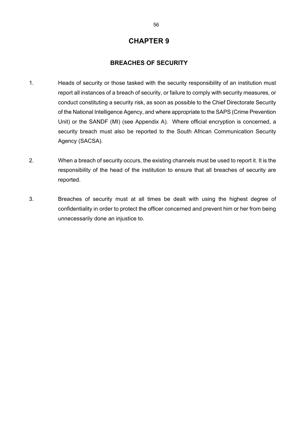#### **BREACHES OF SECURITY**

- 1. Heads of security or those tasked with the security responsibility of an institution must report all instances of a breach of security, or failure to comply with security measures, or conduct constituting a security risk, as soon as possible to the Chief Directorate Security of the National Intelligence Agency, and where appropriate to the SAPS (Crime Prevention Unit) or the SANDF (MI) (see Appendix A). Where official encryption is concerned, a security breach must also be reported to the South African Communication Security Agency (SACSA).
- 2. When a breach of security occurs, the existing channels must be used to report it. It is the responsibility of the head of the institution to ensure that all breaches of security are reported.
- 3. Breaches of security must at all times be dealt with using the highest degree of confidentiality in order to protect the officer concerned and prevent him or her from being unnecessarily done an injustice to.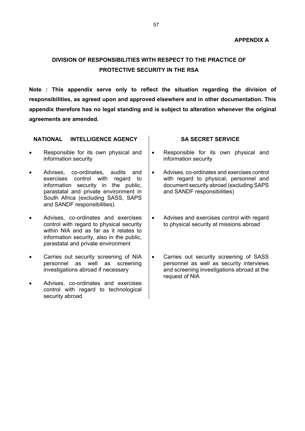# **DIVISION OF RESPONSIBILITIES WITH RESPECT TO THE PRACTICE OF PROTECTIVE SECURITY IN THE RSA**

**Note : This appendix serve only to reflect the situation regarding the division of responsibilities, as agreed upon and approved elsewhere and in other documentation. This appendix therefore has no legal standing and is subject to alteration whenever the original agreements are amended.** 

| <b>INTELLIGENCE AGENCY</b><br><b>NATIONAL</b>                                                                                                                                                                                                        | <b>SA SECRET SERVICE</b>                                                                                                                                                      |
|------------------------------------------------------------------------------------------------------------------------------------------------------------------------------------------------------------------------------------------------------|-------------------------------------------------------------------------------------------------------------------------------------------------------------------------------|
| Responsible for its own physical and<br>$\bullet$<br>information security                                                                                                                                                                            | Responsible for its own physical and<br>$\bullet$<br>information security                                                                                                     |
| Advises, co-ordinates, audits<br>and<br>$\bullet$<br>control with<br>exercises<br>to<br>regard<br>information security in the public,<br>parastatal and private environment in<br>South Africa (excluding SASS, SAPS<br>and SANDF responsibilities). | Advises, co-ordinates and exercises control<br>$\bullet$<br>with regard to physical, personnel and<br>document security abroad (excluding SAPS<br>and SANDF responsibilities) |
| Advises, co-ordinates and exercises<br>control with regard to physical security<br>within NIA and as far as it relates to<br>information security, also in the public,<br>parastatal and private environment                                         | Advises and exercises control with regard<br>٠<br>to physical security at missions abroad                                                                                     |
| Carries out security screening of NIA<br>personnel as well as screening<br>investigations abroad if necessary                                                                                                                                        | Carries out security screening of SASS<br>٠<br>personnel as well as security interviews<br>and screening investigations abroad at the<br>request of NIA                       |
| Advises, co-ordinates and exercises<br>control with regard to technological<br>security abroad                                                                                                                                                       |                                                                                                                                                                               |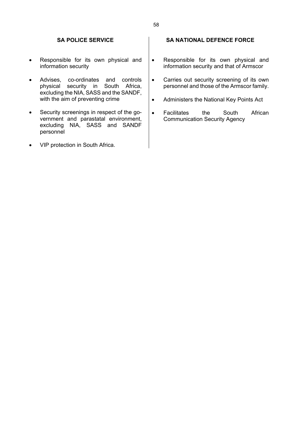#### **SA POLICE SERVICE**

- Responsible for its own physical and information security
- Advises, co-ordinates and controls physical security in South Africa, excluding the NIA, SASS and the SANDF, with the aim of preventing crime
- Security screenings in respect of the government and parastatal environment, excluding NIA, SASS and SANDF personnel
- VIP protection in South Africa.

#### **SA NATIONAL DEFENCE FORCE**

- Responsible for its own physical and information security and that of Armscor
- Carries out security screening of its own personnel and those of the Armscor family.
- Administers the National Key Points Act
- Facilitates the South African Communication Security Agency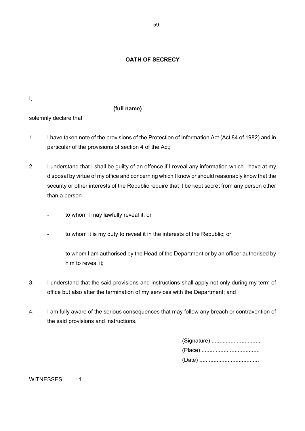### **OATH OF SECRECY**

I, .........................................................................

### **(full name)**

solemnly declare that

- 1. I have taken note of the provisions of the Protection of Information Act (Act 84 of 1982) and in particular of the provisions of section 4 of the Act;
- 2. I understand that I shall be guilty of an offence if I reveal any information which I have at my disposal by virtue of my office and concerning which I know or should reasonably know that the security or other interests of the Republic require that it be kept secret from any person other than a person
	- to whom I may lawfully reveal it; or
	- to whom it is my duty to reveal it in the interests of the Republic; or
	- to whom I am authorised by the Head of the Department or by an officer authorised by him to reveal it;
- 3. I understand that the said provisions and instructions shall apply not only during my term of office but also after the termination of my services with the Department; and
- 4. I am fully aware of the serious consequences that may follow any breach or contravention of the said provisions and instructions.

| (Signature) |
|-------------|
|             |
|             |

WITNESSES 1. .......................................................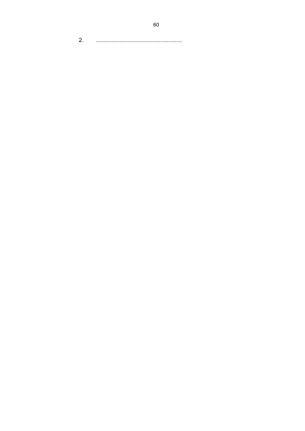$2.$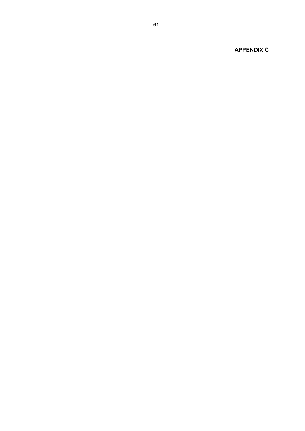**APPENDIX C**